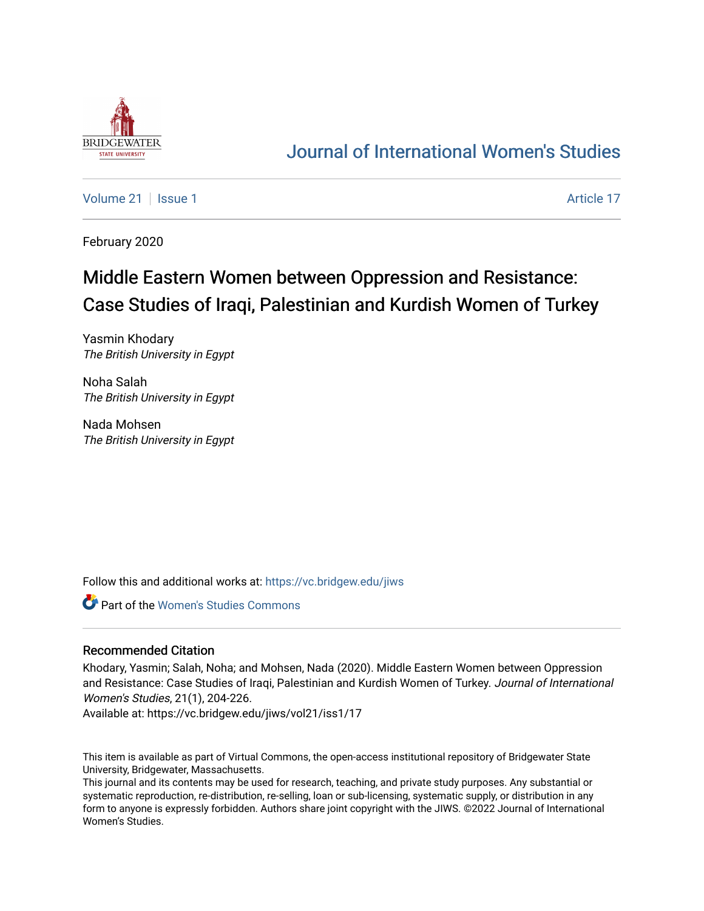

## [Journal of International Women's Studies](https://vc.bridgew.edu/jiws)

[Volume 21](https://vc.bridgew.edu/jiws/vol21) | [Issue 1](https://vc.bridgew.edu/jiws/vol21/iss1) Article 17

February 2020

# Middle Eastern Women between Oppression and Resistance: Case Studies of Iraqi, Palestinian and Kurdish Women of Turkey

Yasmin Khodary The British University in Egypt

Noha Salah The British University in Egypt

Nada Mohsen The British University in Egypt

Follow this and additional works at: [https://vc.bridgew.edu/jiws](https://vc.bridgew.edu/jiws?utm_source=vc.bridgew.edu%2Fjiws%2Fvol21%2Fiss1%2F17&utm_medium=PDF&utm_campaign=PDFCoverPages)

**C** Part of the Women's Studies Commons

#### Recommended Citation

Khodary, Yasmin; Salah, Noha; and Mohsen, Nada (2020). Middle Eastern Women between Oppression and Resistance: Case Studies of Iraqi, Palestinian and Kurdish Women of Turkey. Journal of International Women's Studies, 21(1), 204-226.

Available at: https://vc.bridgew.edu/jiws/vol21/iss1/17

This item is available as part of Virtual Commons, the open-access institutional repository of Bridgewater State University, Bridgewater, Massachusetts.

This journal and its contents may be used for research, teaching, and private study purposes. Any substantial or systematic reproduction, re-distribution, re-selling, loan or sub-licensing, systematic supply, or distribution in any form to anyone is expressly forbidden. Authors share joint copyright with the JIWS. ©2022 Journal of International Women's Studies.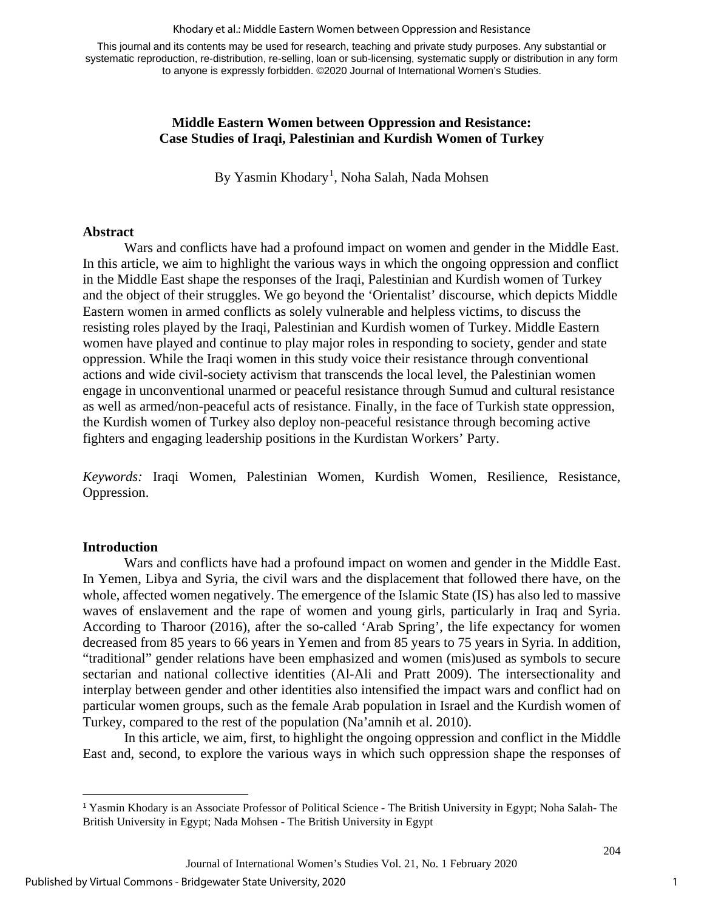#### Khodary et al.: Middle Eastern Women between Oppression and Resistance

This journal and its contents may be used for research, teaching and private study purposes. Any substantial or systematic reproduction, re-distribution, re-selling, loan or sub-licensing, systematic supply or distribution in any form to anyone is expressly forbidden. ©2020 Journal of International Women's Studies.

#### **Middle Eastern Women between Oppression and Resistance: Case Studies of Iraqi, Palestinian and Kurdish Women of Turkey**

By Yasmin Khodary<sup>[1](#page-1-0)</sup>, Noha Salah, Nada Mohsen

#### **Abstract**

Wars and conflicts have had a profound impact on women and gender in the Middle East. In this article, we aim to highlight the various ways in which the ongoing oppression and conflict in the Middle East shape the responses of the Iraqi, Palestinian and Kurdish women of Turkey and the object of their struggles. We go beyond the 'Orientalist' discourse, which depicts Middle Eastern women in armed conflicts as solely vulnerable and helpless victims, to discuss the resisting roles played by the Iraqi, Palestinian and Kurdish women of Turkey. Middle Eastern women have played and continue to play major roles in responding to society, gender and state oppression. While the Iraqi women in this study voice their resistance through conventional actions and wide civil-society activism that transcends the local level, the Palestinian women engage in unconventional unarmed or peaceful resistance through Sumud and cultural resistance as well as armed/non-peaceful acts of resistance. Finally, in the face of Turkish state oppression, the Kurdish women of Turkey also deploy non-peaceful resistance through becoming active fighters and engaging leadership positions in the Kurdistan Workers' Party.

*Keywords:* Iraqi Women, Palestinian Women, Kurdish Women, Resilience, Resistance, Oppression.

#### **Introduction**

Wars and conflicts have had a profound impact on women and gender in the Middle East. In Yemen, Libya and Syria, the civil wars and the displacement that followed there have, on the whole, affected women negatively. The emergence of the Islamic State (IS) has also led to massive waves of enslavement and the rape of women and young girls, particularly in Iraq and Syria. According to Tharoor (2016), after the so-called 'Arab Spring', the life expectancy for women decreased from 85 years to 66 years in Yemen and from 85 years to 75 years in Syria. In addition, "traditional" gender relations have been emphasized and women (mis)used as symbols to secure sectarian and national collective identities (Al-Ali and Pratt 2009). The intersectionality and interplay between gender and other identities also intensified the impact wars and conflict had on particular women groups, such as the female Arab population in Israel and the Kurdish women of Turkey, compared to the rest of the population (Na'amnih et al. 2010).

In this article, we aim, first, to highlight the ongoing oppression and conflict in the Middle East and, second, to explore the various ways in which such oppression shape the responses of

<span id="page-1-0"></span><sup>1</sup> Yasmin Khodary is an Associate Professor of Political Science - The British University in Egypt; Noha Salah- The British University in Egypt; Nada Mohsen - The British University in Egypt

Journal of International Women's Studies Vol. 21, No. 1 February 2020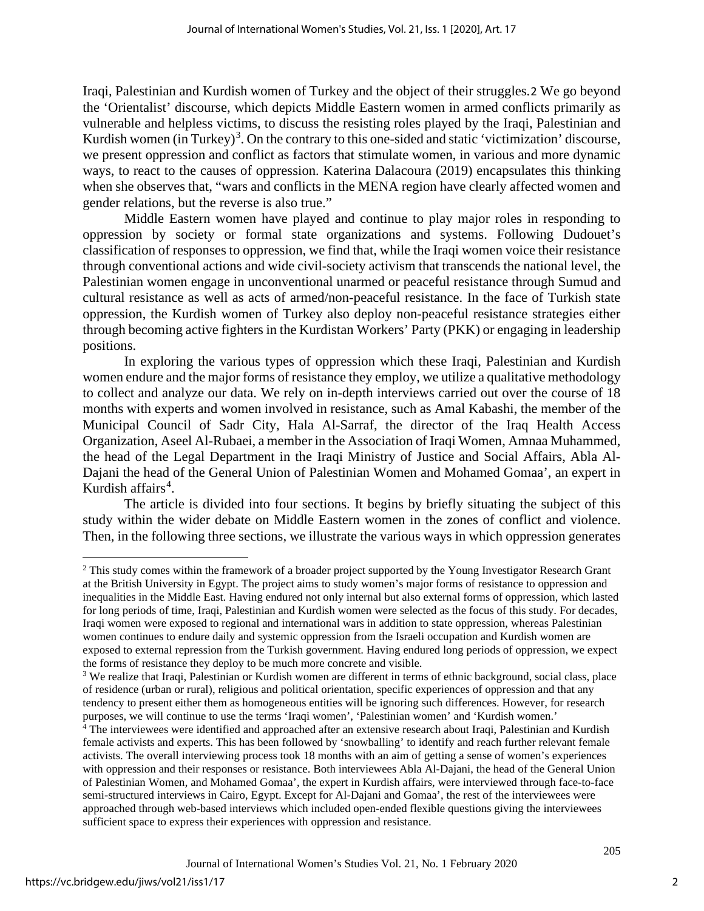Iraqi, Palestinian and Kurdish women of Turkey and the object of their struggles.[2](#page-2-0) We go beyond the 'Orientalist' discourse, which depicts Middle Eastern women in armed conflicts primarily as vulnerable and helpless victims, to discuss the resisting roles played by the Iraqi, Palestinian and Kurdish women (in Turkey)<sup>[3](#page-2-1)</sup>. On the contrary to this one-sided and static 'victimization' discourse, we present oppression and conflict as factors that stimulate women, in various and more dynamic ways, to react to the causes of oppression. Katerina Dalacoura (2019) encapsulates this thinking when she observes that, "wars and conflicts in the MENA region have clearly affected women and gender relations, but the reverse is also true."

Middle Eastern women have played and continue to play major roles in responding to oppression by society or formal state organizations and systems. Following Dudouet's classification of responses to oppression, we find that, while the Iraqi women voice their resistance through conventional actions and wide civil-society activism that transcends the national level, the Palestinian women engage in unconventional unarmed or peaceful resistance through Sumud and cultural resistance as well as acts of armed/non-peaceful resistance. In the face of Turkish state oppression, the Kurdish women of Turkey also deploy non-peaceful resistance strategies either through becoming active fighters in the Kurdistan Workers' Party (PKK) or engaging in leadership positions.

In exploring the various types of oppression which these Iraqi, Palestinian and Kurdish women endure and the major forms of resistance they employ, we utilize a qualitative methodology to collect and analyze our data. We rely on in-depth interviews carried out over the course of 18 months with experts and women involved in resistance, such as Amal Kabashi, the member of the Municipal Council of Sadr City, Hala Al-Sarraf, the director of the Iraq Health Access Organization, Aseel Al-Rubaei, a member in the Association of Iraqi Women, Amnaa Muhammed, the head of the Legal Department in the Iraqi Ministry of Justice and Social Affairs, Abla Al-Dajani the head of the General Union of Palestinian Women and Mohamed Gomaa', an expert in Kurdish affairs<sup>[4](#page-2-2)</sup>.

The article is divided into four sections. It begins by briefly situating the subject of this study within the wider debate on Middle Eastern women in the zones of conflict and violence. Then, in the following three sections, we illustrate the various ways in which oppression generates

<span id="page-2-0"></span><sup>&</sup>lt;sup>2</sup> This study comes within the framework of a broader project supported by the Young Investigator Research Grant at the British University in Egypt. The project aims to study women's major forms of resistance to oppression and inequalities in the Middle East. Having endured not only internal but also external forms of oppression, which lasted for long periods of time, Iraqi, Palestinian and Kurdish women were selected as the focus of this study. For decades, Iraqi women were exposed to regional and international wars in addition to state oppression, whereas Palestinian women continues to endure daily and systemic oppression from the Israeli occupation and Kurdish women are exposed to external repression from the Turkish government. Having endured long periods of oppression, we expect the forms of resistance they deploy to be much more concrete and visible.<br><sup>3</sup> We realize that Iraqi, Palestinian or Kurdish women are different in terms of ethnic background, social class, place

<span id="page-2-1"></span>of residence (urban or rural), religious and political orientation, specific experiences of oppression and that any tendency to present either them as homogeneous entities will be ignoring such differences. However, for research purposes, we will continue to use the terms 'Iraqi women', 'Palestinian women' and 'Kurdish women.'

<span id="page-2-2"></span><sup>4</sup> The interviewees were identified and approached after an extensive research about Iraqi, Palestinian and Kurdish female activists and experts. This has been followed by 'snowballing' to identify and reach further relevant female activists. The overall interviewing process took 18 months with an aim of getting a sense of women's experiences with oppression and their responses or resistance. Both interviewees Abla Al-Dajani, the head of the General Union of Palestinian Women, and Mohamed Gomaa', the expert in Kurdish affairs, were interviewed through face-to-face semi-structured interviews in Cairo, Egypt. Except for Al-Dajani and Gomaa', the rest of the interviewees were approached through web-based interviews which included open-ended flexible questions giving the interviewees sufficient space to express their experiences with oppression and resistance.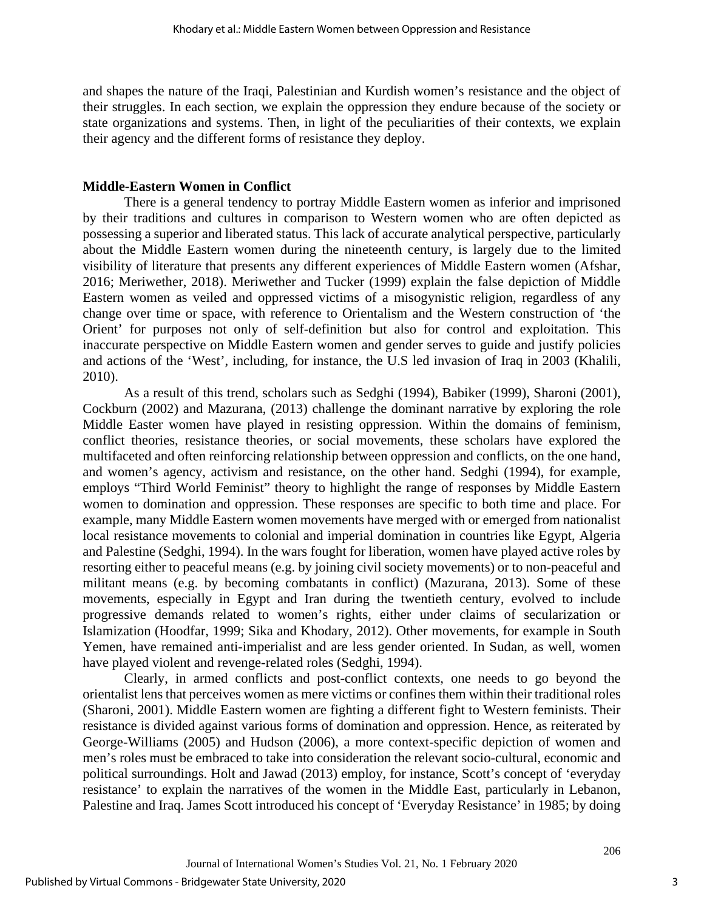and shapes the nature of the Iraqi, Palestinian and Kurdish women's resistance and the object of their struggles. In each section, we explain the oppression they endure because of the society or state organizations and systems. Then, in light of the peculiarities of their contexts, we explain their agency and the different forms of resistance they deploy.

#### **Middle-Eastern Women in Conflict**

There is a general tendency to portray Middle Eastern women as inferior and imprisoned by their traditions and cultures in comparison to Western women who are often depicted as possessing a superior and liberated status. This lack of accurate analytical perspective, particularly about the Middle Eastern women during the nineteenth century, is largely due to the limited visibility of literature that presents any different experiences of Middle Eastern women (Afshar, 2016; Meriwether, 2018). Meriwether and Tucker (1999) explain the false depiction of Middle Eastern women as veiled and oppressed victims of a misogynistic religion, regardless of any change over time or space, with reference to Orientalism and the Western construction of 'the Orient' for purposes not only of self-definition but also for control and exploitation. This inaccurate perspective on Middle Eastern women and gender serves to guide and justify policies and actions of the 'West', including, for instance, the U.S led invasion of Iraq in 2003 (Khalili, 2010).

As a result of this trend, scholars such as Sedghi (1994), Babiker (1999), Sharoni (2001), Cockburn (2002) and Mazurana, (2013) challenge the dominant narrative by exploring the role Middle Easter women have played in resisting oppression. Within the domains of feminism, conflict theories, resistance theories, or social movements, these scholars have explored the multifaceted and often reinforcing relationship between oppression and conflicts, on the one hand, and women's agency, activism and resistance, on the other hand. Sedghi (1994), for example, employs "Third World Feminist" theory to highlight the range of responses by Middle Eastern women to domination and oppression. These responses are specific to both time and place. For example, many Middle Eastern women movements have merged with or emerged from nationalist local resistance movements to colonial and imperial domination in countries like Egypt, Algeria and Palestine (Sedghi, 1994). In the wars fought for liberation, women have played active roles by resorting either to peaceful means (e.g. by joining civil society movements) or to non-peaceful and militant means (e.g. by becoming combatants in conflict) (Mazurana, 2013). Some of these movements, especially in Egypt and Iran during the twentieth century, evolved to include progressive demands related to women's rights, either under claims of secularization or Islamization (Hoodfar, 1999; Sika and Khodary, 2012). Other movements, for example in South Yemen, have remained anti-imperialist and are less gender oriented. In Sudan, as well, women have played violent and revenge-related roles (Sedghi, 1994).

Clearly, in armed conflicts and post-conflict contexts, one needs to go beyond the orientalist lens that perceives women as mere victims or confines them within their traditional roles (Sharoni, 2001). Middle Eastern women are fighting a different fight to Western feminists. Their resistance is divided against various forms of domination and oppression. Hence, as reiterated by George-Williams (2005) and Hudson (2006), a more context-specific depiction of women and men's roles must be embraced to take into consideration the relevant socio-cultural, economic and political surroundings. Holt and Jawad (2013) employ, for instance, Scott's concept of 'everyday resistance' to explain the narratives of the women in the Middle East, particularly in Lebanon, Palestine and Iraq. James Scott introduced his concept of 'Everyday Resistance' in 1985; by doing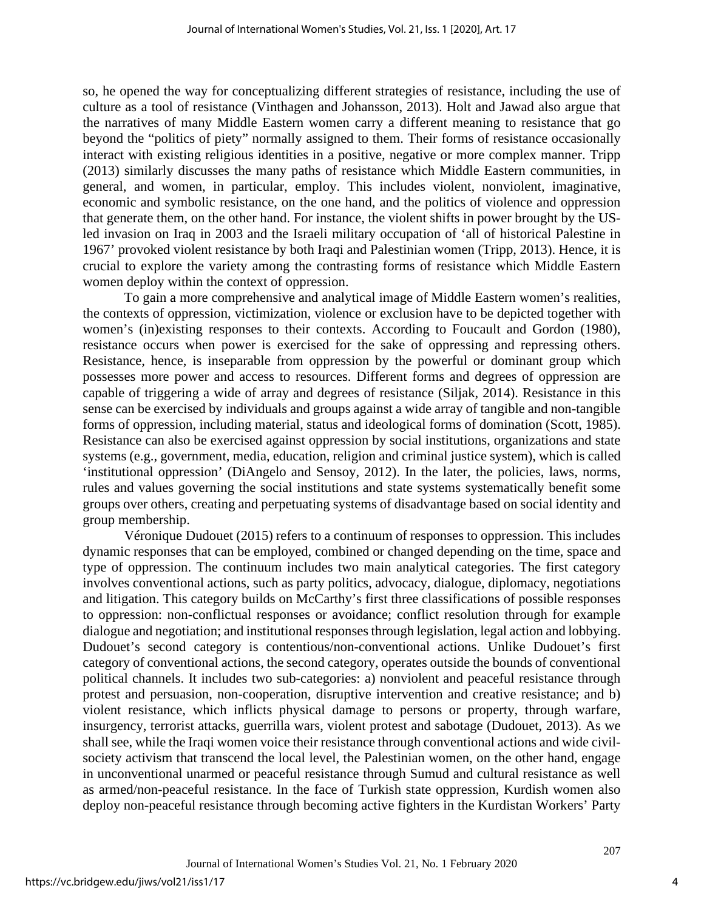so, he opened the way for conceptualizing different strategies of resistance, including the use of culture as a tool of resistance (Vinthagen and Johansson, 2013). Holt and Jawad also argue that the narratives of many Middle Eastern women carry a different meaning to resistance that go beyond the "politics of piety" normally assigned to them. Their forms of resistance occasionally interact with existing religious identities in a positive, negative or more complex manner. Tripp (2013) similarly discusses the many paths of resistance which Middle Eastern communities, in general, and women, in particular, employ. This includes violent, nonviolent, imaginative, economic and symbolic resistance, on the one hand, and the politics of violence and oppression that generate them, on the other hand. For instance, the violent shifts in power brought by the USled invasion on Iraq in 2003 and the Israeli military occupation of 'all of historical Palestine in 1967' provoked violent resistance by both Iraqi and Palestinian women (Tripp, 2013). Hence, it is crucial to explore the variety among the contrasting forms of resistance which Middle Eastern women deploy within the context of oppression.

To gain a more comprehensive and analytical image of Middle Eastern women's realities, the contexts of oppression, victimization, violence or exclusion have to be depicted together with women's (in)existing responses to their contexts. According to Foucault and Gordon (1980), resistance occurs when power is exercised for the sake of oppressing and repressing others. Resistance, hence, is inseparable from oppression by the powerful or dominant group which possesses more power and access to resources. Different forms and degrees of oppression are capable of triggering a wide of array and degrees of resistance (Siljak, 2014). Resistance in this sense can be exercised by individuals and groups against a wide array of tangible and non-tangible forms of oppression, including material, status and ideological forms of domination (Scott, 1985). Resistance can also be exercised against oppression by social institutions, organizations and state systems (e.g., government, media, education, religion and criminal justice system), which is called 'institutional oppression' (DiAngelo and Sensoy, 2012). In the later, the policies, laws, norms, rules and values governing the social institutions and state systems systematically benefit some groups over others, creating and perpetuating systems of disadvantage based on social identity and group membership.

Véronique Dudouet (2015) refers to a continuum of responses to oppression. This includes dynamic responses that can be employed, combined or changed depending on the time, space and type of oppression. The continuum includes two main analytical categories. The first category involves conventional actions, such as party politics, advocacy, dialogue, diplomacy, negotiations and litigation. This category builds on McCarthy's first three classifications of possible responses to oppression: non-conflictual responses or avoidance; conflict resolution through for example dialogue and negotiation; and institutional responses through legislation, legal action and lobbying. Dudouet's second category is contentious/non-conventional actions. Unlike Dudouet's first category of conventional actions, the second category, operates outside the bounds of conventional political channels. It includes two sub-categories: a) nonviolent and peaceful resistance through protest and persuasion, non-cooperation, disruptive intervention and creative resistance; and b) violent resistance, which inflicts physical damage to persons or property, through warfare, insurgency, terrorist attacks, guerrilla wars, violent protest and sabotage (Dudouet, 2013). As we shall see, while the Iraqi women voice their resistance through conventional actions and wide civilsociety activism that transcend the local level, the Palestinian women, on the other hand, engage in unconventional unarmed or peaceful resistance through Sumud and cultural resistance as well as armed/non-peaceful resistance. In the face of Turkish state oppression, Kurdish women also deploy non-peaceful resistance through becoming active fighters in the Kurdistan Workers' Party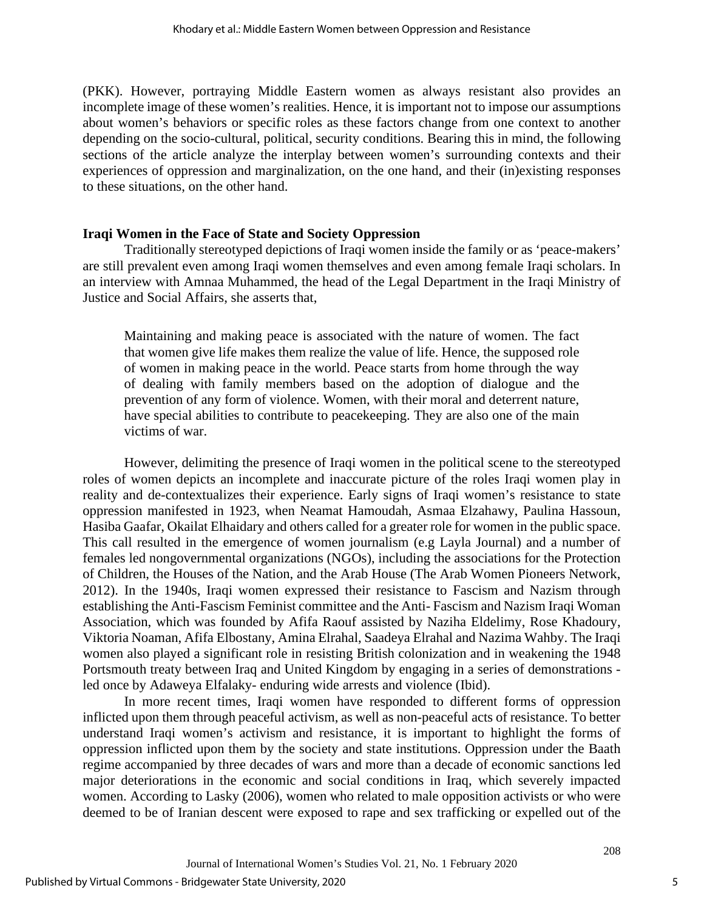(PKK). However, portraying Middle Eastern women as always resistant also provides an incomplete image of these women's realities. Hence, it is important not to impose our assumptions about women's behaviors or specific roles as these factors change from one context to another depending on the socio-cultural, political, security conditions. Bearing this in mind, the following sections of the article analyze the interplay between women's surrounding contexts and their experiences of oppression and marginalization, on the one hand, and their (in)existing responses to these situations, on the other hand.

#### **Iraqi Women in the Face of State and Society Oppression**

Traditionally stereotyped depictions of Iraqi women inside the family or as 'peace-makers' are still prevalent even among Iraqi women themselves and even among female Iraqi scholars. In an interview with Amnaa Muhammed, the head of the Legal Department in the Iraqi Ministry of Justice and Social Affairs, she asserts that,

Maintaining and making peace is associated with the nature of women. The fact that women give life makes them realize the value of life. Hence, the supposed role of women in making peace in the world. Peace starts from home through the way of dealing with family members based on the adoption of dialogue and the prevention of any form of violence. Women, with their moral and deterrent nature, have special abilities to contribute to peacekeeping. They are also one of the main victims of war.

However, delimiting the presence of Iraqi women in the political scene to the stereotyped roles of women depicts an incomplete and inaccurate picture of the roles Iraqi women play in reality and de-contextualizes their experience. Early signs of Iraqi women's resistance to state oppression manifested in 1923, when Neamat Hamoudah, Asmaa Elzahawy, Paulina Hassoun, Hasiba Gaafar, Okailat Elhaidary and others called for a greater role for women in the public space. This call resulted in the emergence of women journalism (e.g Layla Journal) and a number of females led nongovernmental organizations (NGOs), including the associations for the Protection of Children, the Houses of the Nation, and the Arab House (The Arab Women Pioneers Network, 2012). In the 1940s, Iraqi women expressed their resistance to Fascism and Nazism through establishing the Anti-Fascism Feminist committee and the Anti- Fascism and Nazism Iraqi Woman Association, which was founded by Afifa Raouf assisted by Naziha Eldelimy, Rose Khadoury, Viktoria Noaman, Afifa Elbostany, Amina Elrahal, Saadeya Elrahal and Nazima Wahby. The Iraqi women also played a significant role in resisting British colonization and in weakening the 1948 Portsmouth treaty between Iraq and United Kingdom by engaging in a series of demonstrations led once by Adaweya Elfalaky- enduring wide arrests and violence (Ibid).

In more recent times, Iraqi women have responded to different forms of oppression inflicted upon them through peaceful activism, as well as non-peaceful acts of resistance. To better understand Iraqi women's activism and resistance, it is important to highlight the forms of oppression inflicted upon them by the society and state institutions. Oppression under the Baath regime accompanied by three decades of wars and more than a decade of economic sanctions led major deteriorations in the economic and social conditions in Iraq, which severely impacted women. According to Lasky (2006), women who related to male opposition activists or who were deemed to be of Iranian descent were exposed to rape and sex trafficking or expelled out of the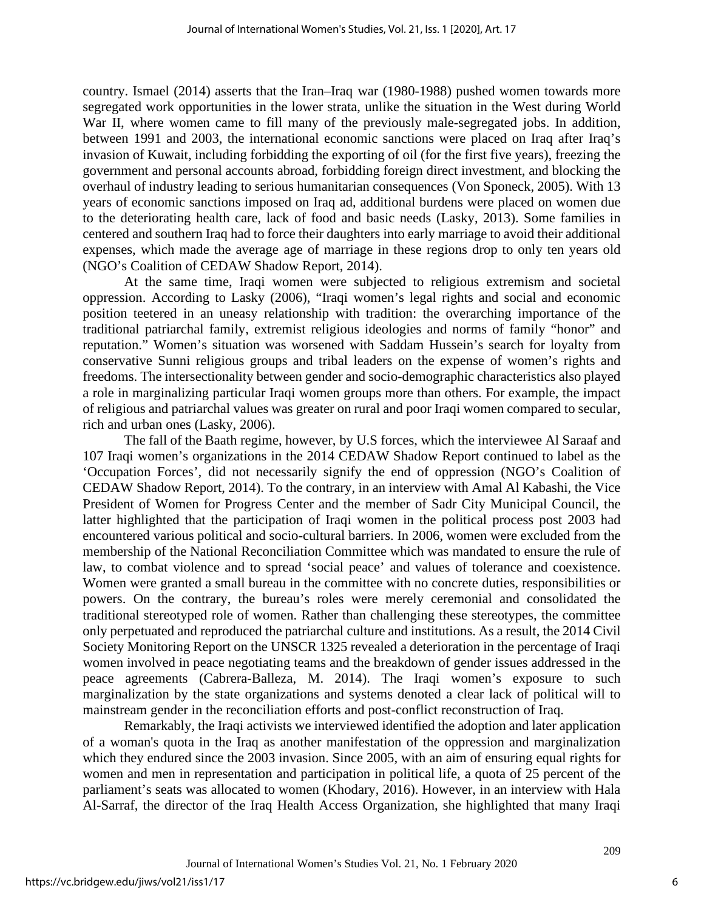country. Ismael (2014) asserts that the Iran–Iraq war (1980-1988) pushed women towards more segregated work opportunities in the lower strata, unlike the situation in the West during World War II, where women came to fill many of the previously male-segregated jobs. In addition, between 1991 and 2003, the international economic sanctions were placed on Iraq after Iraq's invasion of Kuwait, including forbidding the exporting of oil (for the first five years), freezing the government and personal accounts abroad, forbidding foreign direct investment, and blocking the overhaul of industry leading to serious humanitarian consequences (Von Sponeck, 2005). With 13 years of economic sanctions imposed on Iraq ad, additional burdens were placed on women due to the deteriorating health care, lack of food and basic needs (Lasky, 2013). Some families in centered and southern Iraq had to force their daughters into early marriage to avoid their additional expenses, which made the average age of marriage in these regions drop to only ten years old (NGO's Coalition of CEDAW Shadow Report, 2014).

At the same time, Iraqi women were subjected to religious extremism and societal oppression. According to Lasky (2006), "Iraqi women's legal rights and social and economic position teetered in an uneasy relationship with tradition: the overarching importance of the traditional patriarchal family, extremist religious ideologies and norms of family "honor" and reputation." Women's situation was worsened with Saddam Hussein's search for loyalty from conservative Sunni religious groups and tribal leaders on the expense of women's rights and freedoms. The intersectionality between gender and socio-demographic characteristics also played a role in marginalizing particular Iraqi women groups more than others. For example, the impact of religious and patriarchal values was greater on rural and poor Iraqi women compared to secular, rich and urban ones (Lasky, 2006).

The fall of the Baath regime, however, by U.S forces, which the interviewee Al Saraaf and 107 Iraqi women's organizations in the 2014 CEDAW Shadow Report continued to label as the 'Occupation Forces', did not necessarily signify the end of oppression (NGO's Coalition of CEDAW Shadow Report, 2014). To the contrary, in an interview with Amal Al Kabashi, the Vice President of Women for Progress Center and the member of Sadr City Municipal Council, the latter highlighted that the participation of Iraqi women in the political process post 2003 had encountered various political and socio-cultural barriers. In 2006, women were excluded from the membership of the National Reconciliation Committee which was mandated to ensure the rule of law, to combat violence and to spread 'social peace' and values of tolerance and coexistence. Women were granted a small bureau in the committee with no concrete duties, responsibilities or powers. On the contrary, the bureau's roles were merely ceremonial and consolidated the traditional stereotyped role of women. Rather than challenging these stereotypes, the committee only perpetuated and reproduced the patriarchal culture and institutions. As a result, the 2014 Civil Society Monitoring Report on the UNSCR 1325 revealed a deterioration in the percentage of Iraqi women involved in peace negotiating teams and the breakdown of gender issues addressed in the peace agreements (Cabrera-Balleza, M. 2014). The Iraqi women's exposure to such marginalization by the state organizations and systems denoted a clear lack of political will to mainstream gender in the reconciliation efforts and post-conflict reconstruction of Iraq.

Remarkably, the Iraqi activists we interviewed identified the adoption and later application of a woman's quota in the Iraq as another manifestation of the oppression and marginalization which they endured since the 2003 invasion. Since 2005, with an aim of ensuring equal rights for women and men in representation and participation in political life, a quota of 25 percent of the parliament's seats was allocated to women (Khodary, 2016). However, in an interview with Hala Al-Sarraf, the director of the Iraq Health Access Organization, she highlighted that many Iraqi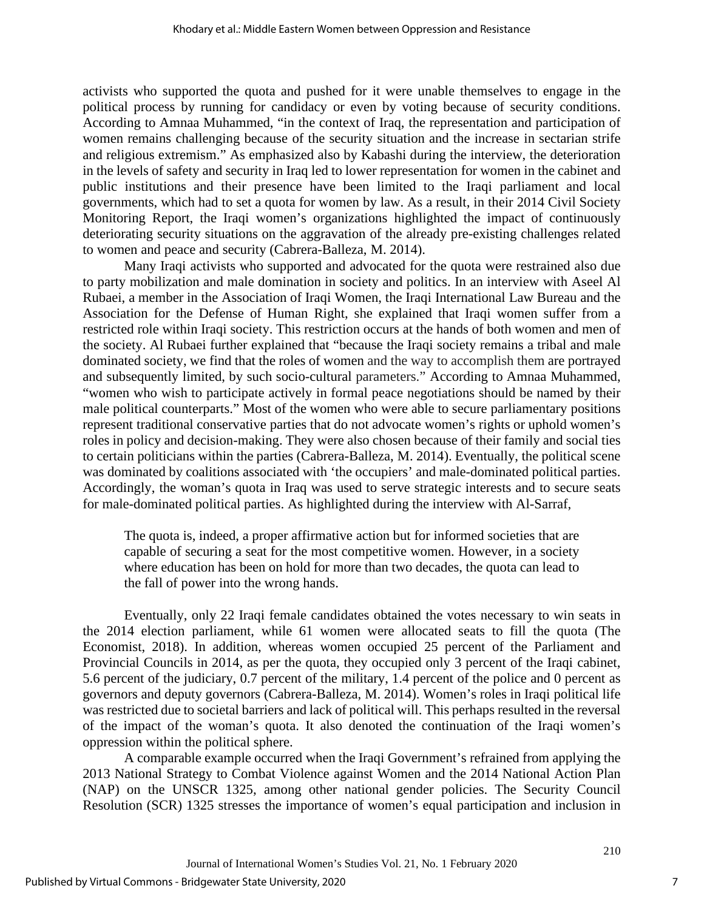activists who supported the quota and pushed for it were unable themselves to engage in the political process by running for candidacy or even by voting because of security conditions. According to Amnaa Muhammed, "in the context of Iraq, the representation and participation of women remains challenging because of the security situation and the increase in sectarian strife and religious extremism." As emphasized also by Kabashi during the interview, the deterioration in the levels of safety and security in Iraq led to lower representation for women in the cabinet and public institutions and their presence have been limited to the Iraqi parliament and local governments, which had to set a quota for women by law. As a result, in their 2014 Civil Society Monitoring Report, the Iraqi women's organizations highlighted the impact of continuously deteriorating security situations on the aggravation of the already pre-existing challenges related to women and peace and security (Cabrera-Balleza, M. 2014).

Many Iraqi activists who supported and advocated for the quota were restrained also due to party mobilization and male domination in society and politics. In an interview with Aseel Al Rubaei, a member in the Association of Iraqi Women, the Iraqi International Law Bureau and the Association for the Defense of Human Right, she explained that Iraqi women suffer from a restricted role within Iraqi society. This restriction occurs at the hands of both women and men of the society. Al Rubaei further explained that "because the Iraqi society remains a tribal and male dominated society, we find that the roles of women and the way to accomplish them are portrayed and subsequently limited, by such socio-cultural parameters." According to Amnaa Muhammed, "women who wish to participate actively in formal peace negotiations should be named by their male political counterparts." Most of the women who were able to secure parliamentary positions represent traditional conservative parties that do not advocate women's rights or uphold women's roles in policy and decision-making. They were also chosen because of their family and social ties to certain politicians within the parties (Cabrera-Balleza, M. 2014). Eventually, the political scene was dominated by coalitions associated with 'the occupiers' and male-dominated political parties. Accordingly, the woman's quota in Iraq was used to serve strategic interests and to secure seats for male-dominated political parties. As highlighted during the interview with Al-Sarraf,

The quota is, indeed, a proper affirmative action but for informed societies that are capable of securing a seat for the most competitive women. However, in a society where education has been on hold for more than two decades, the quota can lead to the fall of power into the wrong hands.

Eventually, only 22 Iraqi female candidates obtained the votes necessary to win seats in the 2014 election parliament, while 61 women were allocated seats to fill the quota (The Economist, 2018). In addition, whereas women occupied 25 percent of the Parliament and Provincial Councils in 2014, as per the quota, they occupied only 3 percent of the Iraqi cabinet, 5.6 percent of the judiciary, 0.7 percent of the military, 1.4 percent of the police and 0 percent as governors and deputy governors (Cabrera-Balleza, M. 2014). Women's roles in Iraqi political life was restricted due to societal barriers and lack of political will. This perhaps resulted in the reversal of the impact of the woman's quota. It also denoted the continuation of the Iraqi women's oppression within the political sphere.

A comparable example occurred when the Iraqi Government's refrained from applying the 2013 National Strategy to Combat Violence against Women and the 2014 National Action Plan (NAP) on the UNSCR 1325, among other national gender policies. The Security Council Resolution (SCR) 1325 stresses the importance of women's equal participation and inclusion in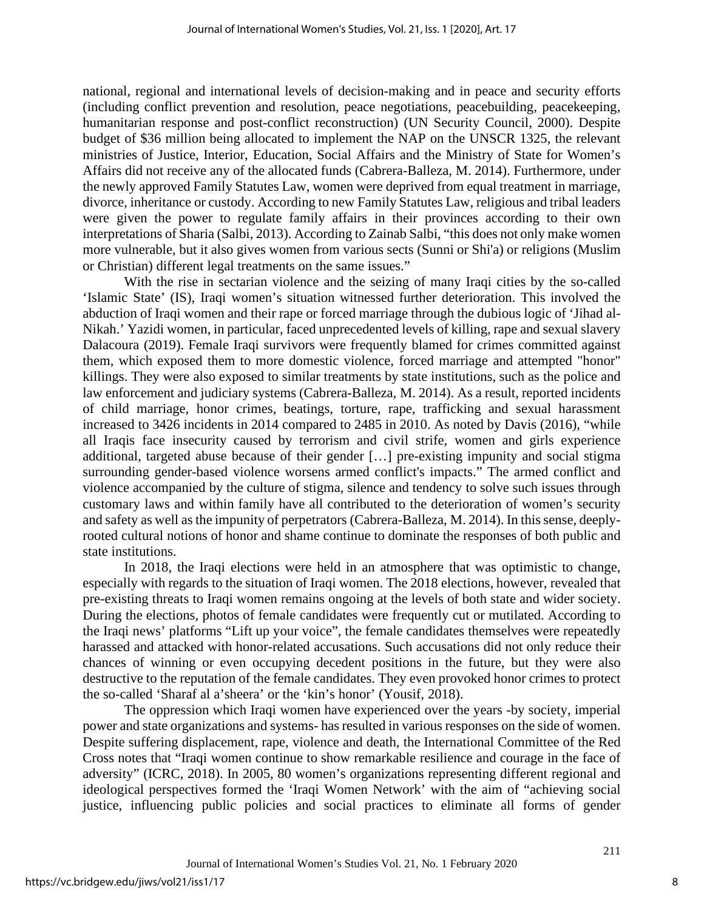national, regional and international levels of decision-making and in peace and security efforts (including conflict prevention and resolution, peace negotiations, peacebuilding, peacekeeping, humanitarian response and post-conflict reconstruction) (UN Security Council, 2000). Despite budget of \$36 million being allocated to implement the NAP on the UNSCR 1325, the relevant ministries of Justice, Interior, Education, Social Affairs and the Ministry of State for Women's Affairs did not receive any of the allocated funds (Cabrera-Balleza, M. 2014). Furthermore, under the newly approved Family Statutes Law, women were deprived from equal treatment in marriage, divorce, inheritance or custody. According to new Family Statutes Law, religious and tribal leaders were given the power to regulate family affairs in their provinces according to their own interpretations of Sharia (Salbi, 2013). According to Zainab Salbi, "this does not only make women more vulnerable, but it also gives women from various sects (Sunni or Shi'a) or religions (Muslim or Christian) different legal treatments on the same issues."

With the rise in sectarian violence and the seizing of many Iraqi cities by the so-called 'Islamic State' (IS), Iraqi women's situation witnessed further deterioration. This involved the abduction of Iraqi women and their rape or forced marriage through the dubious logic of 'Jihad al-Nikah.' Yazidi women, in particular, faced unprecedented levels of killing, rape and sexual slavery Dalacoura (2019). Female Iraqi survivors were frequently blamed for crimes committed against them, which exposed them to more domestic violence, forced marriage and attempted "honor" killings. They were also exposed to similar treatments by state institutions, such as the police and law enforcement and judiciary systems (Cabrera-Balleza, M. 2014). As a result, reported incidents of child marriage, honor crimes, beatings, torture, rape, trafficking and sexual harassment increased to 3426 incidents in 2014 compared to 2485 in 2010. As noted by Davis (2016), "while all Iraqis face insecurity caused by terrorism and civil strife, women and girls experience additional, targeted abuse because of their gender […] pre-existing impunity and social stigma surrounding gender-based violence worsens armed conflict's impacts." The armed conflict and violence accompanied by the culture of stigma, silence and tendency to solve such issues through customary laws and within family have all contributed to the deterioration of women's security and safety as well as the impunity of perpetrators (Cabrera-Balleza, M. 2014). In this sense, deeplyrooted cultural notions of honor and shame continue to dominate the responses of both public and state institutions.

In 2018, the Iraqi elections were held in an atmosphere that was optimistic to change, especially with regards to the situation of Iraqi women. The 2018 elections, however, revealed that pre-existing threats to Iraqi women remains ongoing at the levels of both state and wider society. During the elections, photos of female candidates were frequently cut or mutilated. According to the Iraqi news' platforms "Lift up your voice", the female candidates themselves were repeatedly harassed and attacked with honor-related accusations. Such accusations did not only reduce their chances of winning or even occupying decedent positions in the future, but they were also destructive to the reputation of the female candidates. They even provoked honor crimes to protect the so-called 'Sharaf al a'sheera' or the 'kin's honor' (Yousif, 2018).

The oppression which Iraqi women have experienced over the years -by society, imperial power and state organizations and systems- has resulted in various responses on the side of women. Despite suffering displacement, rape, violence and death, the International Committee of the Red Cross notes that "Iraqi women continue to show remarkable resilience and courage in the face of adversity" (ICRC, 2018). In 2005, 80 women's organizations representing different regional and ideological perspectives formed the 'Iraqi Women Network' with the aim of "achieving social justice, influencing public policies and social practices to eliminate all forms of gender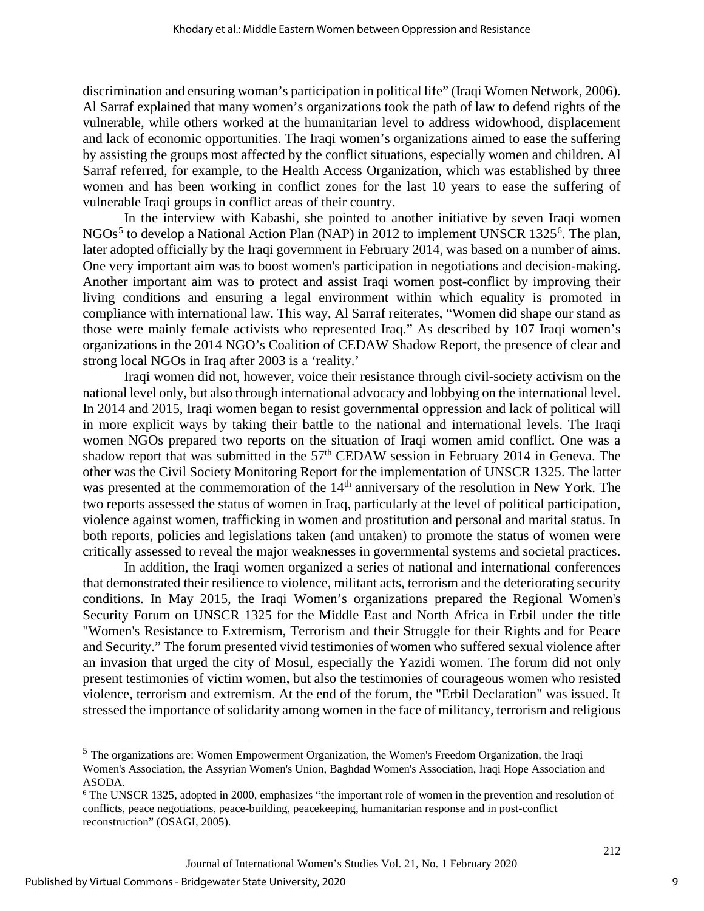discrimination and ensuring woman's participation in political life" (Iraqi Women Network, 2006). Al Sarraf explained that many women's organizations took the path of law to defend rights of the vulnerable, while others worked at the humanitarian level to address widowhood, displacement and lack of economic opportunities. The Iraqi women's organizations aimed to ease the suffering by assisting the groups most affected by the conflict situations, especially women and children. Al Sarraf referred, for example, to the Health Access Organization, which was established by three women and has been working in conflict zones for the last 10 years to ease the suffering of vulnerable Iraqi groups in conflict areas of their country.

In the interview with Kabashi, she pointed to another initiative by seven Iraqi women NGOs<sup>[5](#page-9-0)</sup> to develop a National Action Plan (NAP) in 2012 to implement UNSCR 1325<sup>[6](#page-9-1)</sup>. The plan, later adopted officially by the Iraqi government in February 2014, was based on a number of aims. One very important aim was to boost women's participation in negotiations and decision-making. Another important aim was to protect and assist Iraqi women post-conflict by improving their living conditions and ensuring a legal environment within which equality is promoted in compliance with international law. This way, Al Sarraf reiterates, "Women did shape our stand as those were mainly female activists who represented Iraq." As described by 107 Iraqi women's organizations in the 2014 NGO's Coalition of CEDAW Shadow Report, the presence of clear and strong local NGOs in Iraq after 2003 is a 'reality.'

Iraqi women did not, however, voice their resistance through civil-society activism on the national level only, but also through international advocacy and lobbying on the international level. In 2014 and 2015, Iraqi women began to resist governmental oppression and lack of political will in more explicit ways by taking their battle to the national and international levels. The Iraqi women NGOs prepared two reports on the situation of Iraqi women amid conflict. One was a shadow report that was submitted in the  $57<sup>th</sup>$  CEDAW session in February 2014 in Geneva. The other was the Civil Society Monitoring Report for the implementation of UNSCR 1325. The latter was presented at the commemoration of the 14<sup>th</sup> anniversary of the resolution in New York. The two reports assessed the status of women in Iraq, particularly at the level of political participation, violence against women, trafficking in women and prostitution and personal and marital status. In both reports, policies and legislations taken (and untaken) to promote the status of women were critically assessed to reveal the major weaknesses in governmental systems and societal practices.

In addition, the Iraqi women organized a series of national and international conferences that demonstrated their resilience to violence, militant acts, terrorism and the deteriorating security conditions. In May 2015, the Iraqi Women's organizations prepared the Regional Women's Security Forum on UNSCR 1325 for the Middle East and North Africa in Erbil under the title "Women's Resistance to Extremism, Terrorism and their Struggle for their Rights and for Peace and Security." The forum presented vivid testimonies of women who suffered sexual violence after an invasion that urged the city of Mosul, especially the Yazidi women. The forum did not only present testimonies of victim women, but also the testimonies of courageous women who resisted violence, terrorism and extremism. At the end of the forum, the "Erbil Declaration" was issued. It stressed the importance of solidarity among women in the face of militancy, terrorism and religious

<span id="page-9-0"></span><sup>5</sup> The organizations are: Women Empowerment Organization, the Women's Freedom Organization, the Iraqi Women's Association, the Assyrian Women's Union, Baghdad Women's Association, Iraqi Hope Association and ASODA.

<span id="page-9-1"></span><sup>6</sup> The UNSCR 1325, adopted in 2000, emphasizes "the important role of women in the prevention and resolution of conflicts, peace negotiations, peace-building, peacekeeping, humanitarian response and in post-conflict reconstruction" (OSAGI, 2005).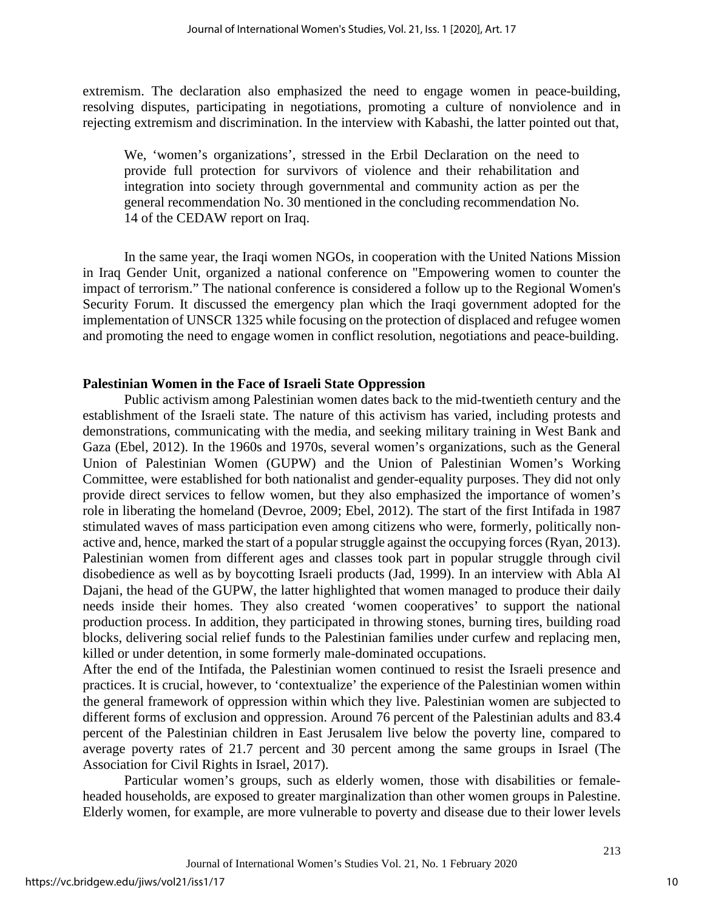extremism. The declaration also emphasized the need to engage women in peace-building, resolving disputes, participating in negotiations, promoting a culture of nonviolence and in rejecting extremism and discrimination. In the interview with Kabashi, the latter pointed out that,

We, 'women's organizations', stressed in the Erbil Declaration on the need to provide full protection for survivors of violence and their rehabilitation and integration into society through governmental and community action as per the general recommendation No. 30 mentioned in the concluding recommendation No. 14 of the CEDAW report on Iraq.

In the same year, the Iraqi women NGOs, in cooperation with the United Nations Mission in Iraq Gender Unit, organized a national conference on "Empowering women to counter the impact of terrorism." The national conference is considered a follow up to the Regional Women's Security Forum. It discussed the emergency plan which the Iraqi government adopted for the implementation of UNSCR 1325 while focusing on the protection of displaced and refugee women and promoting the need to engage women in conflict resolution, negotiations and peace-building.

### **Palestinian Women in the Face of Israeli State Oppression**

Public activism among Palestinian women dates back to the mid-twentieth century and the establishment of the Israeli state. The nature of this activism has varied, including protests and demonstrations, communicating with the media, and seeking military training in West Bank and Gaza (Ebel, 2012). In the 1960s and 1970s, several women's organizations, such as the General Union of Palestinian Women (GUPW) and the Union of Palestinian Women's Working Committee, were established for both nationalist and gender-equality purposes. They did not only provide direct services to fellow women, but they also emphasized the importance of women's role in liberating the homeland (Devroe, 2009; Ebel, 2012). The start of the first Intifada in 1987 stimulated waves of mass participation even among citizens who were, formerly, politically nonactive and, hence, marked the start of a popular struggle against the occupying forces (Ryan, 2013). Palestinian women from different ages and classes took part in popular struggle through civil disobedience as well as by boycotting Israeli products (Jad, 1999). In an interview with Abla Al Dajani, the head of the GUPW, the latter highlighted that women managed to produce their daily needs inside their homes. They also created 'women cooperatives' to support the national production process. In addition, they participated in throwing stones, burning tires, building road blocks, delivering social relief funds to the Palestinian families under curfew and replacing men, killed or under detention, in some formerly male-dominated occupations.

After the end of the Intifada, the Palestinian women continued to resist the Israeli presence and practices. It is crucial, however, to 'contextualize' the experience of the Palestinian women within the general framework of oppression within which they live. Palestinian women are subjected to different forms of exclusion and oppression. Around 76 percent of the Palestinian adults and 83.4 percent of the Palestinian children in East Jerusalem live below the poverty line, compared to average poverty rates of 21.7 percent and 30 percent among the same groups in Israel (The Association for Civil Rights in Israel, 2017).

Particular women's groups, such as elderly women, those with disabilities or femaleheaded households, are exposed to greater marginalization than other women groups in Palestine. Elderly women, for example, are more vulnerable to poverty and disease due to their lower levels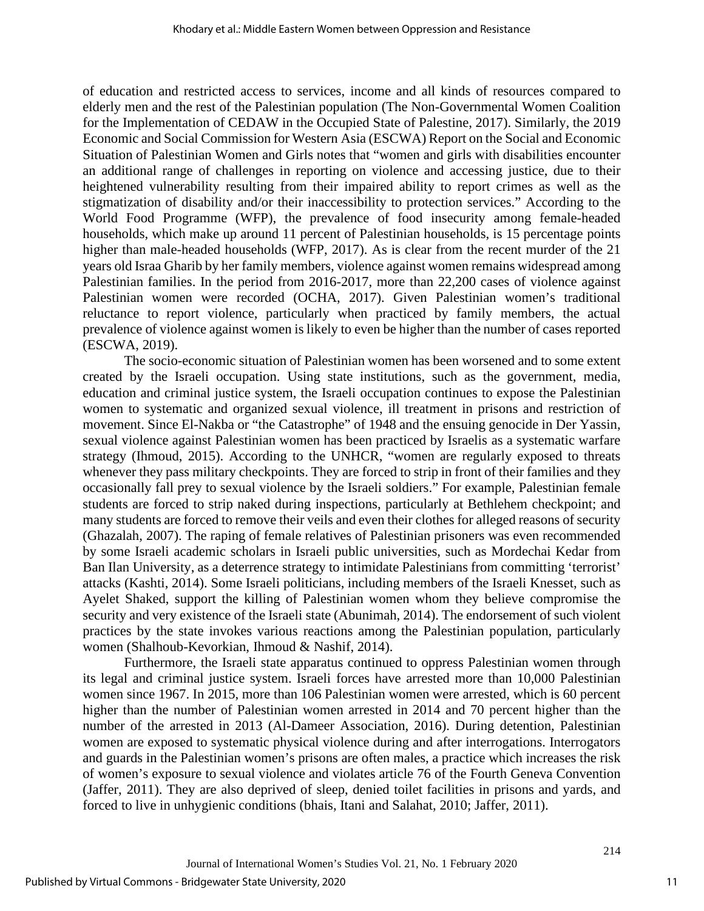of education and restricted access to services, income and all kinds of resources compared to elderly men and the rest of the Palestinian population (The Non-Governmental Women Coalition for the Implementation of CEDAW in the Occupied State of Palestine, 2017). Similarly, the 2019 Economic and Social Commission for Western Asia (ESCWA) Report on the Social and Economic Situation of Palestinian Women and Girls notes that "women and girls with disabilities encounter an additional range of challenges in reporting on violence and accessing justice, due to their heightened vulnerability resulting from their impaired ability to report crimes as well as the stigmatization of disability and/or their inaccessibility to protection services." According to the World Food Programme (WFP), the prevalence of food insecurity among female-headed households, which make up around 11 percent of Palestinian households, is 15 percentage points higher than male-headed households (WFP, 2017). As is clear from the recent murder of the 21 years old Israa Gharib by her family members, violence against women remains widespread among Palestinian families. In the period from 2016-2017, more than 22,200 cases of violence against Palestinian women were recorded (OCHA, 2017). Given Palestinian women's traditional reluctance to report violence, particularly when practiced by family members, the actual prevalence of violence against women is likely to even be higher than the number of cases reported (ESCWA, 2019).

The socio-economic situation of Palestinian women has been worsened and to some extent created by the Israeli occupation. Using state institutions, such as the government, media, education and criminal justice system, the Israeli occupation continues to expose the Palestinian women to systematic and organized sexual violence, ill treatment in prisons and restriction of movement. Since El-Nakba or "the Catastrophe" of 1948 and the ensuing genocide in Der Yassin, sexual violence against Palestinian women has been practiced by Israelis as a systematic warfare strategy (Ihmoud, 2015). According to the UNHCR, "women are regularly exposed to threats whenever they pass military checkpoints. They are forced to strip in front of their families and they occasionally fall prey to sexual violence by the Israeli soldiers." For example, Palestinian female students are forced to strip naked during inspections, particularly at Bethlehem checkpoint; and many students are forced to remove their veils and even their clothes for alleged reasons of security (Ghazalah, 2007). The raping of female relatives of Palestinian prisoners was even recommended by some Israeli academic scholars in Israeli public universities, such as Mordechai Kedar from Ban Ilan University, as a deterrence strategy to intimidate Palestinians from committing 'terrorist' attacks (Kashti, 2014). Some Israeli politicians, including members of the Israeli Knesset, such as Ayelet Shaked, support the killing of Palestinian women whom they believe compromise the security and very existence of the Israeli state (Abunimah, 2014). The endorsement of such violent practices by the state invokes various reactions among the Palestinian population, particularly women (Shalhoub-Kevorkian, Ihmoud & Nashif, 2014).

Furthermore, the Israeli state apparatus continued to oppress Palestinian women through its legal and criminal justice system. Israeli forces have arrested more than 10,000 Palestinian women since 1967. In 2015, more than 106 Palestinian women were arrested, which is 60 percent higher than the number of Palestinian women arrested in 2014 and 70 percent higher than the number of the arrested in 2013 (Al-Dameer Association, 2016). During detention, Palestinian women are exposed to systematic physical violence during and after interrogations. Interrogators and guards in the Palestinian women's prisons are often males, a practice which increases the risk of women's exposure to sexual violence and violates article 76 of the Fourth Geneva Convention (Jaffer, 2011). They are also deprived of sleep, denied toilet facilities in prisons and yards, and forced to live in unhygienic conditions (bhais, Itani and Salahat, 2010; Jaffer, 2011).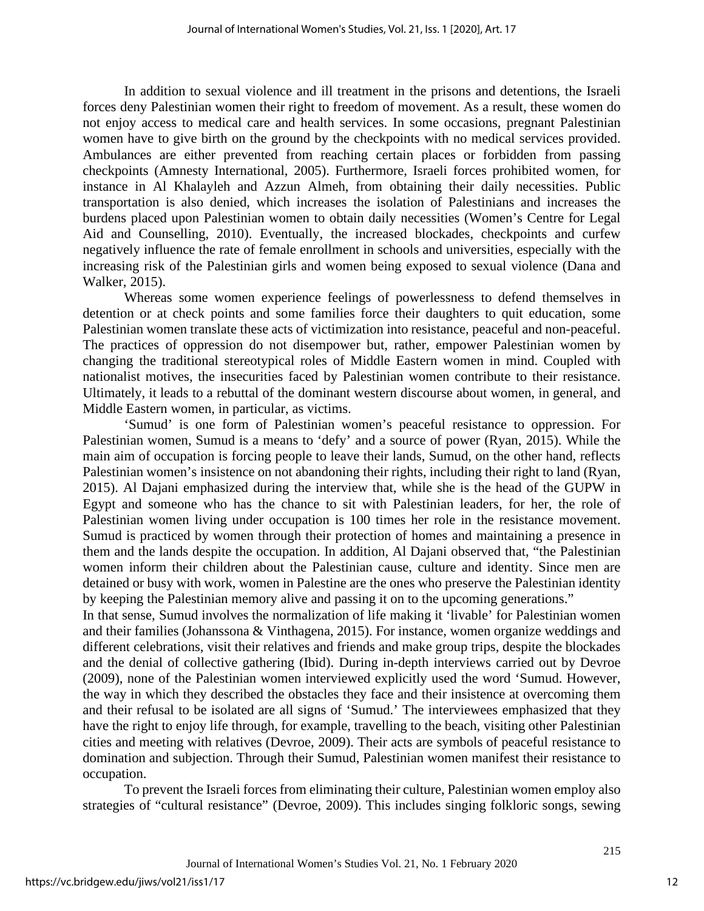In addition to sexual violence and ill treatment in the prisons and detentions, the Israeli forces deny Palestinian women their right to freedom of movement. As a result, these women do not enjoy access to medical care and health services. In some occasions, pregnant Palestinian women have to give birth on the ground by the checkpoints with no medical services provided. Ambulances are either prevented from reaching certain places or forbidden from passing checkpoints (Amnesty International, 2005). Furthermore, Israeli forces prohibited women, for instance in Al Khalayleh and Azzun Almeh, from obtaining their daily necessities. Public transportation is also denied, which increases the isolation of Palestinians and increases the burdens placed upon Palestinian women to obtain daily necessities (Women's Centre for Legal Aid and Counselling, 2010). Eventually, the increased blockades, checkpoints and curfew negatively influence the rate of female enrollment in schools and universities, especially with the increasing risk of the Palestinian girls and women being exposed to sexual violence (Dana and Walker, 2015).

Whereas some women experience feelings of powerlessness to defend themselves in detention or at check points and some families force their daughters to quit education, some Palestinian women translate these acts of victimization into resistance, peaceful and non-peaceful. The practices of oppression do not disempower but, rather, empower Palestinian women by changing the traditional stereotypical roles of Middle Eastern women in mind. Coupled with nationalist motives, the insecurities faced by Palestinian women contribute to their resistance. Ultimately, it leads to a rebuttal of the dominant western discourse about women, in general, and Middle Eastern women, in particular, as victims.

'Sumud' is one form of Palestinian women's peaceful resistance to oppression. For Palestinian women, Sumud is a means to 'defy' and a source of power (Ryan, 2015). While the main aim of occupation is forcing people to leave their lands, Sumud, on the other hand, reflects Palestinian women's insistence on not abandoning their rights, including their right to land (Ryan, 2015). Al Dajani emphasized during the interview that, while she is the head of the GUPW in Egypt and someone who has the chance to sit with Palestinian leaders, for her, the role of Palestinian women living under occupation is 100 times her role in the resistance movement. Sumud is practiced by women through their protection of homes and maintaining a presence in them and the lands despite the occupation. In addition, Al Dajani observed that, "the Palestinian women inform their children about the Palestinian cause, culture and identity. Since men are detained or busy with work, women in Palestine are the ones who preserve the Palestinian identity by keeping the Palestinian memory alive and passing it on to the upcoming generations."

In that sense, Sumud involves the normalization of life making it 'livable' for Palestinian women and their families (Johanssona & Vinthagena, 2015). For instance, women organize weddings and different celebrations, visit their relatives and friends and make group trips, despite the blockades and the denial of collective gathering (Ibid). During in-depth interviews carried out by Devroe (2009), none of the Palestinian women interviewed explicitly used the word 'Sumud. However, the way in which they described the obstacles they face and their insistence at overcoming them and their refusal to be isolated are all signs of 'Sumud.' The interviewees emphasized that they have the right to enjoy life through, for example, travelling to the beach, visiting other Palestinian cities and meeting with relatives (Devroe, 2009). Their acts are symbols of peaceful resistance to domination and subjection. Through their Sumud, Palestinian women manifest their resistance to occupation.

To prevent the Israeli forces from eliminating their culture, Palestinian women employ also strategies of "cultural resistance" (Devroe, 2009). This includes singing folkloric songs, sewing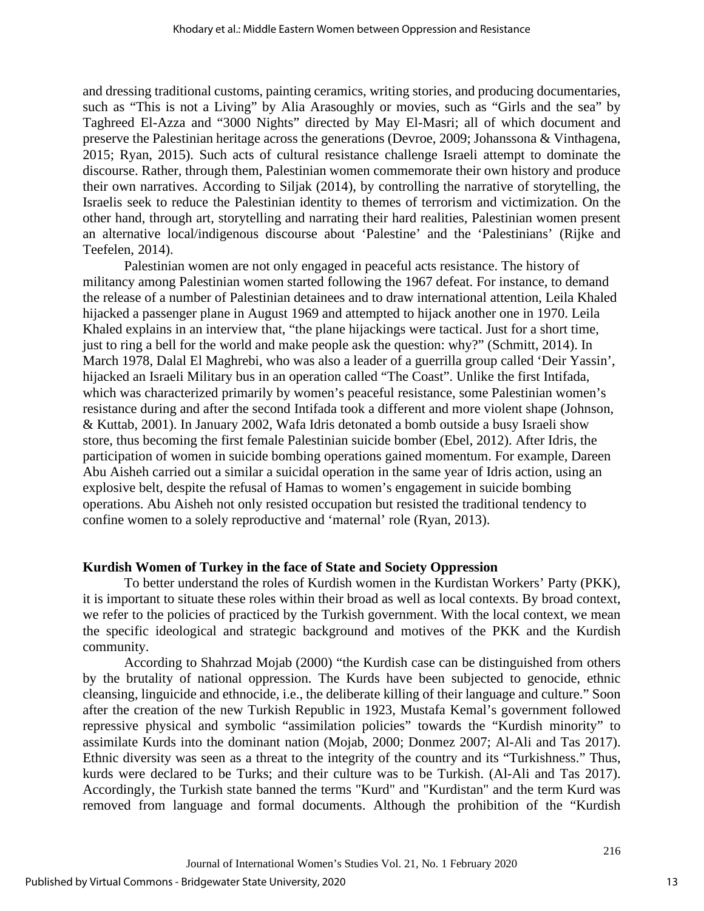and dressing traditional customs, painting ceramics, writing stories, and producing documentaries, such as "This is not a Living" by Alia Arasoughly or movies, such as "Girls and the sea" by Taghreed El-Azza and "3000 Nights" directed by May El-Masri; all of which document and preserve the Palestinian heritage across the generations (Devroe, 2009; Johanssona & Vinthagena, 2015; Ryan, 2015). Such acts of cultural resistance challenge Israeli attempt to dominate the discourse. Rather, through them, Palestinian women commemorate their own history and produce their own narratives. According to Siljak (2014), by controlling the narrative of storytelling, the Israelis seek to reduce the Palestinian identity to themes of terrorism and victimization. On the other hand, through art, storytelling and narrating their hard realities, Palestinian women present an alternative local/indigenous discourse about 'Palestine' and the 'Palestinians' (Rijke and Teefelen, 2014).

Palestinian women are not only engaged in peaceful acts resistance. The history of militancy among Palestinian women started following the 1967 defeat. For instance, to demand the release of a number of Palestinian detainees and to draw international attention, Leila Khaled hijacked a passenger plane in August 1969 and attempted to hijack another one in 1970. Leila Khaled explains in an interview that, "the plane hijackings were tactical. Just for a short time, just to ring a bell for the world and make people ask the question: why?" [\(Schmitt,](https://www.972mag.com/tag/paula-schmitt/) 2014). In March 1978, Dalal El Maghrebi, who was also a leader of a guerrilla group called 'Deir Yassin', hijacked an Israeli Military bus in an operation called "The Coast". Unlike the first Intifada, which was characterized primarily by women's peaceful resistance, some Palestinian women's resistance during and after the second Intifada took a different and more violent shape (Johnson, & Kuttab, 2001). In January 2002, Wafa Idris detonated a bomb outside a busy Israeli show store, thus becoming the first female Palestinian suicide bomber (Ebel, 2012). After Idris, the participation of women in suicide bombing operations gained momentum. For example, Dareen Abu Aisheh carried out a similar a suicidal operation in the same year of Idris action, using an explosive belt, despite the refusal of Hamas to women's engagement in suicide bombing operations. Abu Aisheh not only resisted occupation but resisted the traditional tendency to confine women to a solely reproductive and 'maternal' role (Ryan, 2013).

#### **Kurdish Women of Turkey in the face of State and Society Oppression**

To better understand the roles of Kurdish women in the Kurdistan Workers' Party (PKK), it is important to situate these roles within their broad as well as local contexts. By broad context, we refer to the policies of practiced by the Turkish government. With the local context, we mean the specific ideological and strategic background and motives of the PKK and the Kurdish community.

According to Shahrzad Mojab (2000) "the Kurdish case can be distinguished from others by the brutality of national oppression. The Kurds have been subjected to genocide, ethnic cleansing, linguicide and ethnocide, i.e., the deliberate killing of their language and culture." Soon after the creation of the new Turkish Republic in 1923, Mustafa Kemal's government followed repressive physical and symbolic "assimilation policies" towards the "Kurdish minority" to assimilate Kurds into the dominant nation (Mojab, 2000; Donmez 2007; Al-Ali and Tas 2017). Ethnic diversity was seen as a threat to the integrity of the country and its "Turkishness." Thus, kurds were declared to be Turks; and their culture was to be Turkish. (Al-Ali and Tas 2017). Accordingly, the Turkish state banned the terms "Kurd" and "Kurdistan" and the term Kurd was removed from language and formal documents. Although the prohibition of the "Kurdish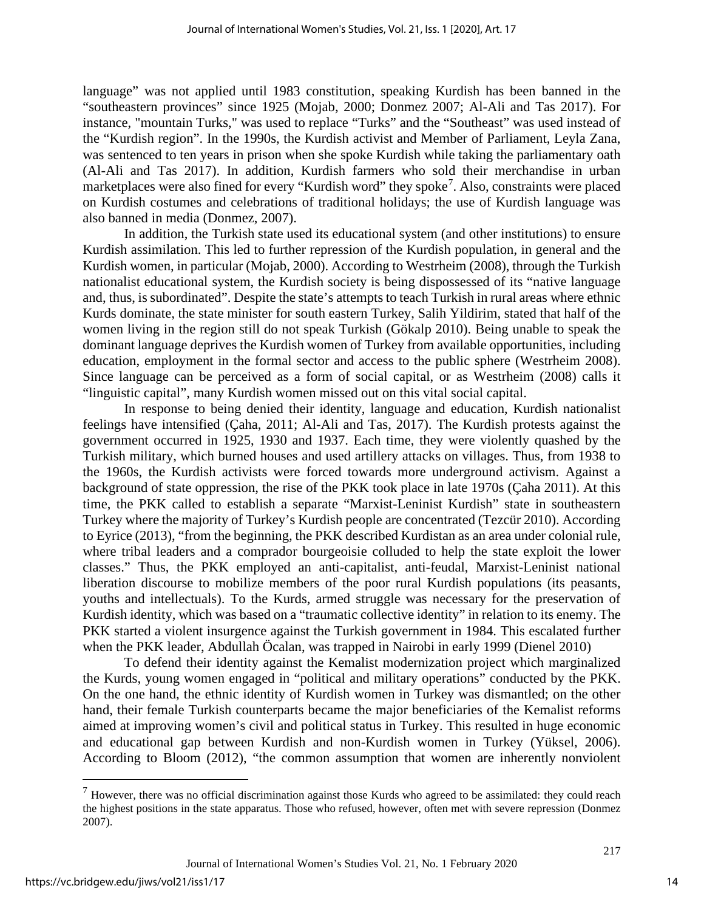language" was not applied until 1983 constitution, speaking Kurdish has been banned in the "southeastern provinces" since 1925 (Mojab, 2000; Donmez 2007; Al-Ali and Tas 2017). For instance, "mountain Turks," was used to replace "Turks" and the "Southeast" was used instead of the "Kurdish region". In the 1990s, the Kurdish activist and Member of Parliament, Leyla Zana, was sentenced to ten years in prison when she spoke Kurdish while taking the parliamentary oath (Al-Ali and Tas 2017). In addition, Kurdish farmers who sold their merchandise in urban marketplaces were also fined for every "Kurdish word" they spoke<sup>[7](#page-14-0)</sup>. Also, constraints were placed on Kurdish costumes and celebrations of traditional holidays; the use of Kurdish language was also banned in media (Donmez, 2007).

In addition, the Turkish state used its educational system (and other institutions) to ensure Kurdish assimilation. This led to further repression of the Kurdish population, in general and the Kurdish women, in particular (Mojab, 2000). According to Westrheim (2008), through the Turkish nationalist educational system, the Kurdish society is being dispossessed of its "native language and, thus, is subordinated". Despite the state's attempts to teach Turkish in rural areas where ethnic Kurds dominate, the state minister for south eastern Turkey, Salih Yildirim, stated that half of the women living in the region still do not speak Turkish (Gökalp 2010). Being unable to speak the dominant language deprives the Kurdish women of Turkey from available opportunities, including education, employment in the formal sector and access to the public sphere (Westrheim 2008). Since language can be perceived as a form of social capital, or as Westrheim (2008) calls it "linguistic capital", many Kurdish women missed out on this vital social capital.

In response to being denied their identity, language and education, Kurdish nationalist feelings have intensified (Çaha, 2011; Al-Ali and Tas, 2017). The Kurdish protests against the government occurred in 1925, 1930 and 1937. Each time, they were violently quashed by the Turkish military, which burned houses and used artillery attacks on villages. Thus, from 1938 to the 1960s, the Kurdish activists were forced towards more underground activism. Against a background of state oppression, the rise of the PKK took place in late 1970s (Çaha 2011). At this time, the PKK called to establish a separate "Marxist-Leninist Kurdish" state in southeastern Turkey where the majority of Turkey's Kurdish people are concentrated (Tezcür 2010). According to Eyrice (2013), "from the beginning, the PKK described Kurdistan as an area under colonial rule, where tribal leaders and a comprador bourgeoisie colluded to help the state exploit the lower classes." Thus, the PKK employed an anti-capitalist, anti-feudal, Marxist-Leninist national liberation discourse to mobilize members of the poor rural Kurdish populations (its peasants, youths and intellectuals). To the Kurds, armed struggle was necessary for the preservation of Kurdish identity, which was based on a "traumatic collective identity" in relation to its enemy. The PKK started a violent insurgence against the Turkish government in 1984. This escalated further when the PKK leader, Abdullah Öcalan, was trapped in Nairobi in early 1999 (Dienel 2010)

To defend their identity against the Kemalist modernization project which marginalized the Kurds, young women engaged in "political and military operations" conducted by the PKK. On the one hand, the ethnic identity of Kurdish women in Turkey was dismantled; on the other hand, their female Turkish counterparts became the major beneficiaries of the Kemalist reforms aimed at improving women's civil and political status in Turkey. This resulted in huge economic and educational gap between Kurdish and non-Kurdish women in Turkey (Yüksel, 2006). According to Bloom (2012), "the common assumption that women are inherently nonviolent

<span id="page-14-0"></span> $<sup>7</sup>$  However, there was no official discrimination against those Kurds who agreed to be assimilated: they could reach</sup> the highest positions in the state apparatus. Those who refused, however, often met with severe repression (Donmez 2007).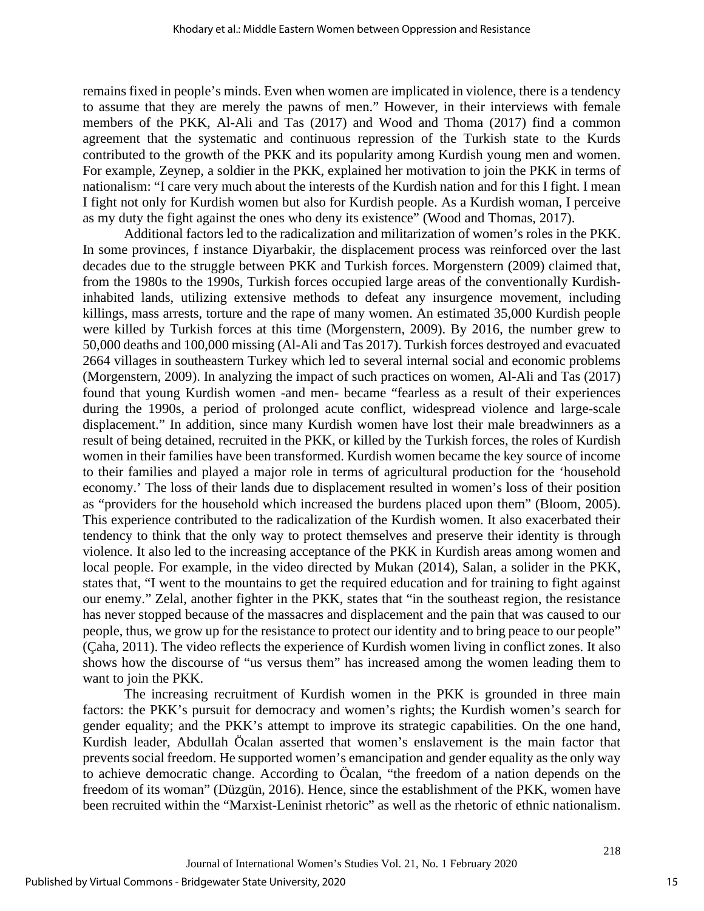remains fixed in people's minds. Even when women are implicated in violence, there is a tendency to assume that they are merely the pawns of men." However, in their interviews with female members of the PKK, Al-Ali and Tas (2017) and Wood and Thoma (2017) find a common agreement that the systematic and continuous repression of the Turkish state to the Kurds contributed to the growth of the PKK and its popularity among Kurdish young men and women. For example, Zeynep, a soldier in the PKK, explained her motivation to join the PKK in terms of nationalism: "I care very much about the interests of the Kurdish nation and for this I fight. I mean I fight not only for Kurdish women but also for Kurdish people. As a Kurdish woman, I perceive as my duty the fight against the ones who deny its existence" (Wood and Thomas, 2017).

Additional factors led to the radicalization and militarization of women's roles in the PKK. In some provinces, f instance Diyarbakir, the displacement process was reinforced over the last decades due to the struggle between PKK and Turkish forces. Morgenstern (2009) claimed that, from the 1980s to the 1990s, Turkish forces occupied large areas of the conventionally Kurdishinhabited lands, utilizing extensive methods to defeat any insurgence movement, including killings, mass arrests, torture and the rape of many women. An estimated 35,000 Kurdish people were killed by Turkish forces at this time (Morgenstern, 2009). By 2016, the number grew to 50,000 deaths and 100,000 missing (Al-Ali and Tas 2017). Turkish forces destroyed and evacuated 2664 villages in southeastern Turkey which led to several internal social and economic problems (Morgenstern, 2009). In analyzing the impact of such practices on women, Al-Ali and Tas (2017) found that young Kurdish women -and men- became "fearless as a result of their experiences during the 1990s, a period of prolonged acute conflict, widespread violence and large-scale displacement." In addition, since many Kurdish women have lost their male breadwinners as a result of being detained, recruited in the PKK, or killed by the Turkish forces, the roles of Kurdish women in their families have been transformed. Kurdish women became the key source of income to their families and played a major role in terms of agricultural production for the 'household economy.' The loss of their lands due to displacement resulted in women's loss of their position as "providers for the household which increased the burdens placed upon them" (Bloom, 2005). This experience contributed to the radicalization of the Kurdish women. It also exacerbated their tendency to think that the only way to protect themselves and preserve their identity is through violence. It also led to the increasing acceptance of the PKK in Kurdish areas among women and local people. For example, in the video directed by Mukan (2014), Salan, a solider in the PKK, states that, "I went to the mountains to get the required education and for training to fight against our enemy." Zelal, another fighter in the PKK, states that "in the southeast region, the resistance has never stopped because of the massacres and displacement and the pain that was caused to our people, thus, we grow up for the resistance to protect our identity and to bring peace to our people" (Çaha, 2011). The video reflects the experience of Kurdish women living in conflict zones. It also shows how the discourse of "us versus them" has increased among the women leading them to want to join the PKK.

The increasing recruitment of Kurdish women in the PKK is grounded in three main factors: the PKK's pursuit for democracy and women's rights; the Kurdish women's search for gender equality; and the PKK's attempt to improve its strategic capabilities. On the one hand, Kurdish leader, Abdullah Öcalan asserted that women's enslavement is the main factor that prevents social freedom. He supported women's emancipation and gender equality as the only way to achieve democratic change. According to Öcalan, "the freedom of a nation depends on the freedom of its woman" (Düzgün, 2016). Hence, since the establishment of the PKK, women have been recruited within the "Marxist-Leninist rhetoric" as well as the rhetoric of ethnic nationalism.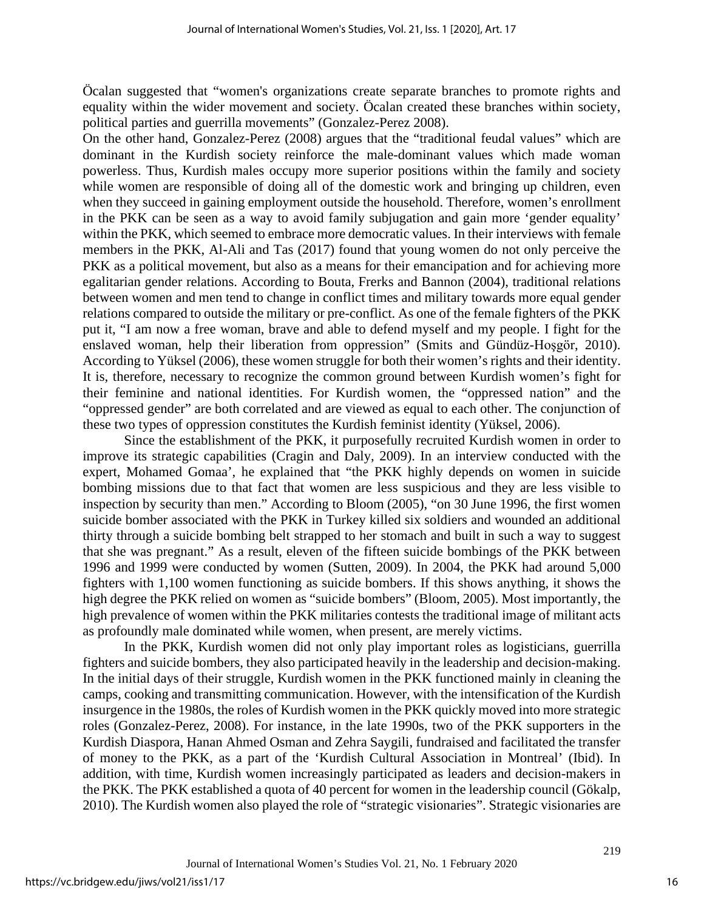Öcalan suggested that "women's organizations create separate branches to promote rights and equality within the wider movement and society. Öcalan created these branches within society, political parties and guerrilla movements" (Gonzalez-Perez 2008).

On the other hand, Gonzalez-Perez (2008) argues that the "traditional feudal values" which are dominant in the Kurdish society reinforce the male-dominant values which made woman powerless. Thus, Kurdish males occupy more superior positions within the family and society while women are responsible of doing all of the domestic work and bringing up children, even when they succeed in gaining employment outside the household. Therefore, women's enrollment in the PKK can be seen as a way to avoid family subjugation and gain more 'gender equality' within the PKK, which seemed to embrace more democratic values. In their interviews with female members in the PKK, Al-Ali and Tas (2017) found that young women do not only perceive the PKK as a political movement, but also as a means for their emancipation and for achieving more egalitarian gender relations. According to Bouta, Frerks and Bannon (2004), traditional relations between women and men tend to change in conflict times and military towards more equal gender relations compared to outside the military or pre-conflict. As one of the female fighters of the PKK put it, "I am now a free woman, brave and able to defend myself and my people. I fight for the enslaved woman, help their liberation from oppression" (Smits and Gündüz-Hoşgör, 2010). According to Yüksel (2006), these women struggle for both their women's rights and their identity. It is, therefore, necessary to recognize the common ground between Kurdish women's fight for their feminine and national identities. For Kurdish women, the "oppressed nation" and the "oppressed gender" are both correlated and are viewed as equal to each other. The conjunction of these two types of oppression constitutes the Kurdish feminist identity (Yüksel, 2006).

Since the establishment of the PKK, it purposefully recruited Kurdish women in order to improve its strategic capabilities (Cragin and Daly, 2009). In an interview conducted with the expert, Mohamed Gomaa', he explained that "the PKK highly depends on women in suicide bombing missions due to that fact that women are less suspicious and they are less visible to inspection by security than men." According to Bloom (2005), "on 30 June 1996, the first women suicide bomber associated with the PKK in Turkey killed six soldiers and wounded an additional thirty through a suicide bombing belt strapped to her stomach and built in such a way to suggest that she was pregnant." As a result, eleven of the fifteen suicide bombings of the PKK between 1996 and 1999 were conducted by women (Sutten, 2009). In 2004, the PKK had around 5,000 fighters with 1,100 women functioning as suicide bombers. If this shows anything, it shows the high degree the PKK relied on women as "suicide bombers" (Bloom, 2005). Most importantly, the high prevalence of women within the PKK militaries contests the traditional image of militant acts as profoundly male dominated while women, when present, are merely victims.

In the PKK, Kurdish women did not only play important roles as logisticians, guerrilla fighters and suicide bombers, they also participated heavily in the leadership and decision-making. In the initial days of their struggle, Kurdish women in the PKK functioned mainly in cleaning the camps, cooking and transmitting communication. However, with the intensification of the Kurdish insurgence in the 1980s, the roles of Kurdish women in the PKK quickly moved into more strategic roles (Gonzalez-Perez, 2008). For instance, in the late 1990s, two of the PKK supporters in the Kurdish Diaspora, Hanan Ahmed Osman and Zehra Saygili, fundraised and facilitated the transfer of money to the PKK, as a part of the 'Kurdish Cultural Association in Montreal' (Ibid). In addition, with time, Kurdish women increasingly participated as leaders and decision-makers in the PKK. The PKK established a quota of 40 percent for women in the leadership council (Gökalp, 2010). The Kurdish women also played the role of "strategic visionaries". Strategic visionaries are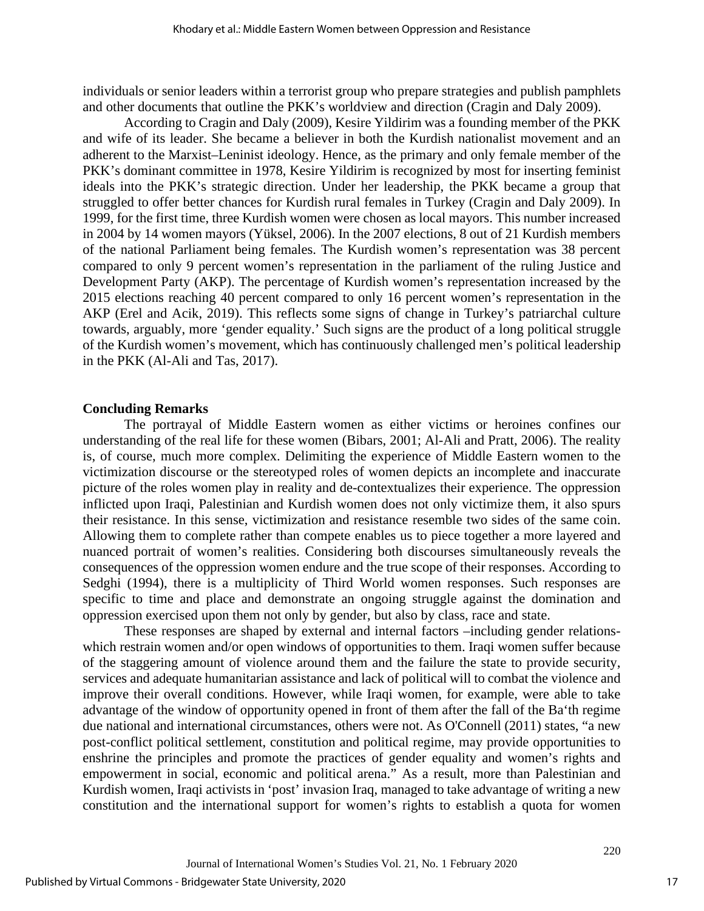individuals or senior leaders within a terrorist group who prepare strategies and publish pamphlets and other documents that outline the PKK's worldview and direction (Cragin and Daly 2009).

According to Cragin and Daly (2009), Kesire Yildirim was a founding member of the PKK and wife of its leader. She became a believer in both the Kurdish nationalist movement and an adherent to the Marxist–Leninist ideology. Hence, as the primary and only female member of the PKK's dominant committee in 1978, Kesire Yildirim is recognized by most for inserting feminist ideals into the PKK's strategic direction. Under her leadership, the PKK became a group that struggled to offer better chances for Kurdish rural females in Turkey (Cragin and Daly 2009). In 1999, for the first time, three Kurdish women were chosen as local mayors. This number increased in 2004 by 14 women mayors (Yüksel, 2006). In the 2007 elections, 8 out of 21 Kurdish members of the national Parliament being females. The Kurdish women's representation was 38 percent compared to only 9 percent women's representation in the parliament of the ruling Justice and Development Party (AKP). The percentage of Kurdish women's representation increased by the 2015 elections reaching 40 percent compared to only 16 percent women's representation in the AKP (Erel and Acik, 2019). This reflects some signs of change in Turkey's patriarchal culture towards, arguably, more 'gender equality.' Such signs are the product of a long political struggle of the Kurdish women's movement, which has continuously challenged men's political leadership in the PKK (Al-Ali and Tas, 2017).

#### **Concluding Remarks**

The portrayal of Middle Eastern women as either victims or heroines confines our understanding of the real life for these women (Bibars, 2001; Al-Ali and Pratt, 2006). The reality is, of course, much more complex. Delimiting the experience of Middle Eastern women to the victimization discourse or the stereotyped roles of women depicts an incomplete and inaccurate picture of the roles women play in reality and de-contextualizes their experience. The oppression inflicted upon Iraqi, Palestinian and Kurdish women does not only victimize them, it also spurs their resistance. In this sense, victimization and resistance resemble two sides of the same coin. Allowing them to complete rather than compete enables us to piece together a more layered and nuanced portrait of women's realities. Considering both discourses simultaneously reveals the consequences of the oppression women endure and the true scope of their responses. According to Sedghi (1994), there is a multiplicity of Third World women responses. Such responses are specific to time and place and demonstrate an ongoing struggle against the domination and oppression exercised upon them not only by gender, but also by class, race and state.

These responses are shaped by external and internal factors –including gender relationswhich restrain women and/or open windows of opportunities to them. Iraqi women suffer because of the staggering amount of violence around them and the failure the state to provide security, services and adequate humanitarian assistance and lack of political will to combat the violence and improve their overall conditions. However, while Iraqi women, for example, were able to take advantage of the window of opportunity opened in front of them after the fall of the Ba'th regime due national and international circumstances, others were not. As O'Connell (2011) states, "a new post-conflict political settlement, constitution and political regime, may provide opportunities to enshrine the principles and promote the practices of gender equality and women's rights and empowerment in social, economic and political arena." As a result, more than Palestinian and Kurdish women, Iraqi activists in 'post' invasion Iraq, managed to take advantage of writing a new constitution and the international support for women's rights to establish a quota for women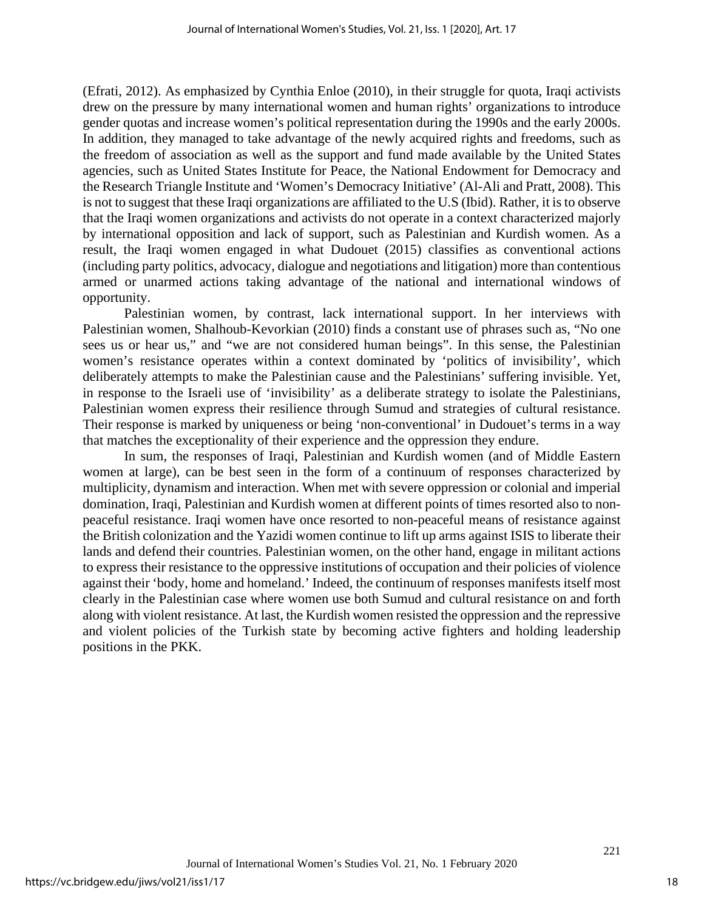(Efrati, 2012). As emphasized by Cynthia Enloe (2010), in their struggle for quota, Iraqi activists drew on the pressure by many international women and human rights' organizations to introduce gender quotas and increase women's political representation during the 1990s and the early 2000s. In addition, they managed to take advantage of the newly acquired rights and freedoms, such as the freedom of association as well as the support and fund made available by the United States agencies, such as United States Institute for Peace, the National Endowment for Democracy and the Research Triangle Institute and 'Women's Democracy Initiative' (Al-Ali and Pratt, 2008). This is not to suggest that these Iraqi organizations are affiliated to the U.S (Ibid). Rather, it is to observe that the Iraqi women organizations and activists do not operate in a context characterized majorly by international opposition and lack of support, such as Palestinian and Kurdish women. As a result, the Iraqi women engaged in what Dudouet (2015) classifies as conventional actions (including party politics, advocacy, dialogue and negotiations and litigation) more than contentious armed or unarmed actions taking advantage of the national and international windows of opportunity.

Palestinian women, by contrast, lack international support. In her interviews with Palestinian women, Shalhoub-Kevorkian (2010) finds a constant use of phrases such as, "No one sees us or hear us," and "we are not considered human beings". In this sense, the Palestinian women's resistance operates within a context dominated by 'politics of invisibility', which deliberately attempts to make the Palestinian cause and the Palestinians' suffering invisible. Yet, in response to the Israeli use of 'invisibility' as a deliberate strategy to isolate the Palestinians, Palestinian women express their resilience through Sumud and strategies of cultural resistance. Their response is marked by uniqueness or being 'non-conventional' in Dudouet's terms in a way that matches the exceptionality of their experience and the oppression they endure.

In sum, the responses of Iraqi, Palestinian and Kurdish women (and of Middle Eastern women at large), can be best seen in the form of a continuum of responses characterized by multiplicity, dynamism and interaction. When met with severe oppression or colonial and imperial domination, Iraqi, Palestinian and Kurdish women at different points of times resorted also to nonpeaceful resistance. Iraqi women have once resorted to non-peaceful means of resistance against the British colonization and the Yazidi women continue to lift up arms against ISIS to liberate their lands and defend their countries. Palestinian women, on the other hand, engage in militant actions to express their resistance to the oppressive institutions of occupation and their policies of violence against their 'body, home and homeland.' Indeed, the continuum of responses manifests itself most clearly in the Palestinian case where women use both Sumud and cultural resistance on and forth along with violent resistance. At last, the Kurdish women resisted the oppression and the repressive and violent policies of the Turkish state by becoming active fighters and holding leadership positions in the PKK.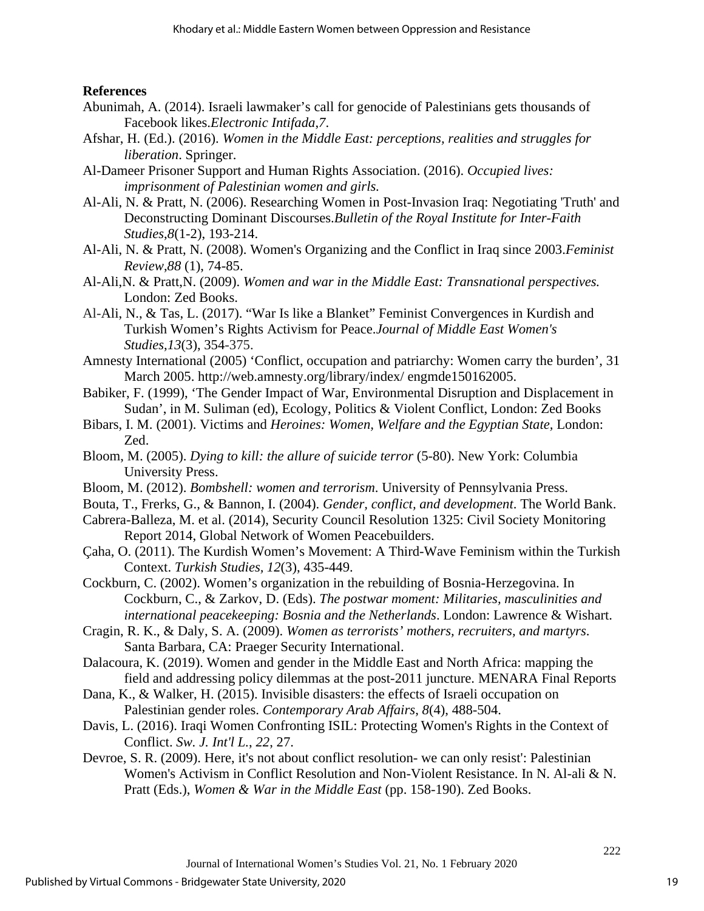#### **References**

- Abunimah, A. (2014). Israeli lawmaker's call for genocide of Palestinians gets thousands of Facebook likes.*Electronic Intifada*,*7*.
- Afshar, H. (Ed.). (2016). *Women in the Middle East: perceptions, realities and struggles for liberation*. Springer.
- Al-Dameer Prisoner Support and Human Rights Association. (2016). *Occupied lives: imprisonment of Palestinian women and girls.*
- Al-Ali, N. & Pratt, N. (2006). Researching Women in Post-Invasion Iraq: Negotiating 'Truth' and Deconstructing Dominant Discourses.*Bulletin of the Royal Institute for Inter-Faith Studies*,*8*(1-2), 193-214.
- Al-Ali, N. & Pratt, N. (2008). Women's Organizing and the Conflict in Iraq since 2003.*Feminist Review*,*88* (1), 74-85.
- Al-Ali,N. & Pratt,N. (2009). *Women and war in the Middle East: Transnational perspectives.* London: Zed Books.
- Al-Ali, N., & Tas, L. (2017). "War Is like a Blanket" Feminist Convergences in Kurdish and Turkish Women's Rights Activism for Peace.*Journal of Middle East Women's Studies*,*13*(3), 354-375.
- Amnesty International (2005) 'Conflict, occupation and patriarchy: Women carry the burden', 31 March 2005. http://web.amnesty.org/library/index/ engmde150162005.
- Babiker, F. (1999), 'The Gender Impact of War, Environmental Disruption and Displacement in Sudan', in M. Suliman (ed), Ecology, Politics & Violent Conflict, London: Zed Books
- Bibars, I. M. (2001). Victims and *Heroines: Women, Welfare and the Egyptian State,* London: Zed.
- Bloom, M. (2005). *Dying to kill: the allure of suicide terror* (5-80). New York: Columbia University Press.
- Bloom, M. (2012). *Bombshell: women and terrorism*. University of Pennsylvania Press.
- Bouta, T., Frerks, G., & Bannon, I. (2004). *Gender, conflict, and development*. The World Bank.
- Cabrera-Balleza, M. et al. (2014), Security Council Resolution 1325: Civil Society Monitoring Report 2014, Global Network of Women Peacebuilders.
- Çaha, O. (2011). The Kurdish Women's Movement: A Third-Wave Feminism within the Turkish Context. *Turkish Studies, 12*(3), 435-449.
- Cockburn, C. (2002). Women's organization in the rebuilding of Bosnia-Herzegovina. In Cockburn, C., & Zarkov, D. (Eds). *The postwar moment: Militaries, masculinities and international peacekeeping: Bosnia and the Netherlands*. London: Lawrence & Wishart.
- Cragin, R. K., & Daly, S. A. (2009). *Women as terrorists' mothers, recruiters, and martyrs*. Santa Barbara, CA: Praeger Security International.
- Dalacoura, K. (2019). Women and gender in the Middle East and North Africa: mapping the field and addressing policy dilemmas at the post-2011 juncture. MENARA Final Reports
- Dana, K., & Walker, H. (2015). Invisible disasters: the effects of Israeli occupation on Palestinian gender roles. *Contemporary Arab Affairs*, *8*(4), 488-504.
- Davis, L. (2016). Iraqi Women Confronting ISIL: Protecting Women's Rights in the Context of Conflict. *Sw. J. Int'l L.*, *22*, 27.
- Devroe, S. R. (2009). Here, it's not about conflict resolution- we can only resist': Palestinian Women's Activism in Conflict Resolution and Non-Violent Resistance. In N. Al-ali & N. Pratt (Eds.), *Women & War in the Middle East* (pp. 158-190). Zed Books.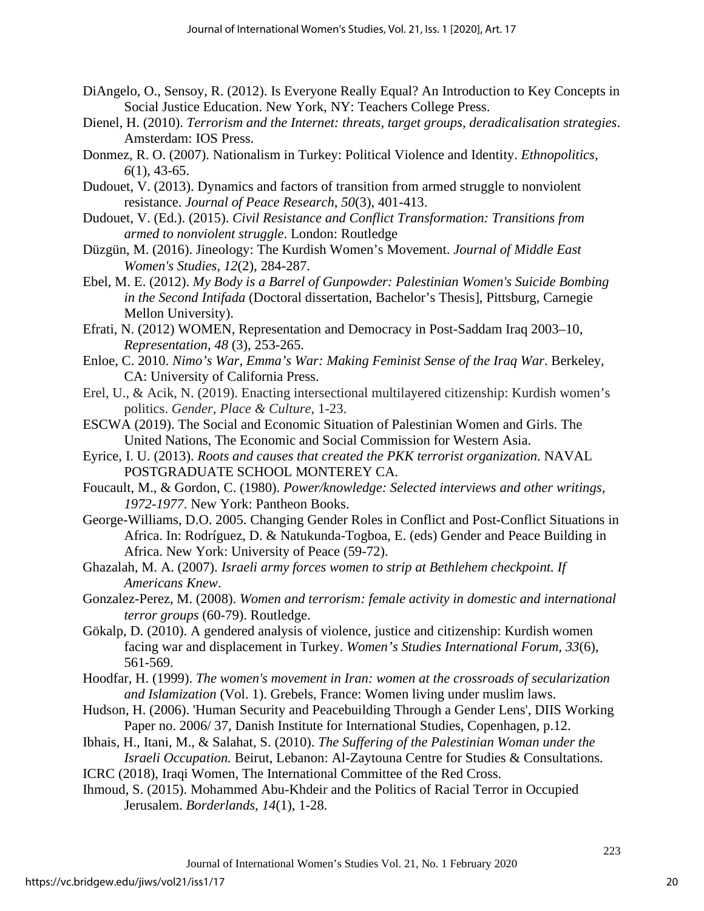- DiAngelo, O., Sensoy, R. (2012). Is Everyone Really Equal? An Introduction to Key Concepts in Social Justice Education. New York, NY: Teachers College Press.
- Dienel, H. (2010). *Terrorism and the Internet: threats, target groups, deradicalisation strategies*. Amsterdam: IOS Press.
- Donmez, R. O. (2007). Nationalism in Turkey: Political Violence and Identity. *Ethnopolitics, 6*(1), 43-65.
- Dudouet, V. (2013). Dynamics and factors of transition from armed struggle to nonviolent resistance. *Journal of Peace Research*, *50*(3), 401-413.
- Dudouet, V. (Ed.). (2015). *Civil Resistance and Conflict Transformation: Transitions from armed to nonviolent struggle*. London: Routledge
- Düzgün, M. (2016). Jineology: The Kurdish Women's Movement. *Journal of Middle East Women's Studies*, *12*(2), 284-287.
- Ebel, M. E. (2012). *My Body is a Barrel of Gunpowder: Palestinian Women's Suicide Bombing in the Second Intifada* (Doctoral dissertation, Bachelor's Thesis], Pittsburg, Carnegie Mellon University).
- Efrati, N. (2012) WOMEN, Representation and Democracy in Post-Saddam Iraq 2003–10, *Representation*, *48* (3), 253-265.
- Enloe, C. 2010. *Nimo's War, Emma's War: Making Feminist Sense of the Iraq War*. Berkeley, CA: University of California Press.
- Erel, U., & Acik, N. (2019). Enacting intersectional multilayered citizenship: Kurdish women's politics. *Gender, Place & Culture*, 1-23.
- ESCWA (2019). The Social and Economic Situation of Palestinian Women and Girls. The United Nations, The Economic and Social Commission for Western Asia.
- Eyrice, I. U. (2013). *Roots and causes that created the PKK terrorist organization*. NAVAL POSTGRADUATE SCHOOL MONTEREY CA.
- Foucault, M., & Gordon, C. (1980). *Power/knowledge: Selected interviews and other writings, 1972-1977*. New York: Pantheon Books.
- George-Williams, D.O. 2005. Changing Gender Roles in Conflict and Post-Conflict Situations in Africa. In: Rodríguez, D. & Natukunda-Togboa, E. (eds) Gender and Peace Building in Africa. New York: University of Peace (59-72).
- Ghazalah, M. A. (2007). *Israeli army forces women to strip at Bethlehem checkpoint. If Americans Knew*.
- Gonzalez-Perez, M. (2008). *Women and terrorism: female activity in domestic and international terror groups* (60-79). Routledge.
- Gökalp, D. (2010). A gendered analysis of violence, justice and citizenship: Kurdish women facing war and displacement in Turkey. *Women's Studies International Forum, 33*(6), 561-569.
- Hoodfar, H. (1999). *The women's movement in Iran: women at the crossroads of secularization and Islamization* (Vol. 1). Grebels, France: Women living under muslim laws.
- Hudson, H. (2006). 'Human Security and Peacebuilding Through a Gender Lens', DIIS Working Paper no. 2006/ 37, Danish Institute for International Studies, Copenhagen, p.12.
- Ibhais, H., Itani, M., & Salahat, S. (2010). *The Suffering of the Palestinian Woman under the Israeli Occupation.* Beirut, Lebanon: Al-Zaytouna Centre for Studies & Consultations. ICRC (2018), Iraqi Women, The International Committee of the Red Cross.
- Ihmoud, S. (2015). Mohammed Abu-Khdeir and the Politics of Racial Terror in Occupied Jerusalem. *Borderlands*, *14*(1), 1-28.
	- Journal of International Women's Studies Vol. 21, No. 1 February 2020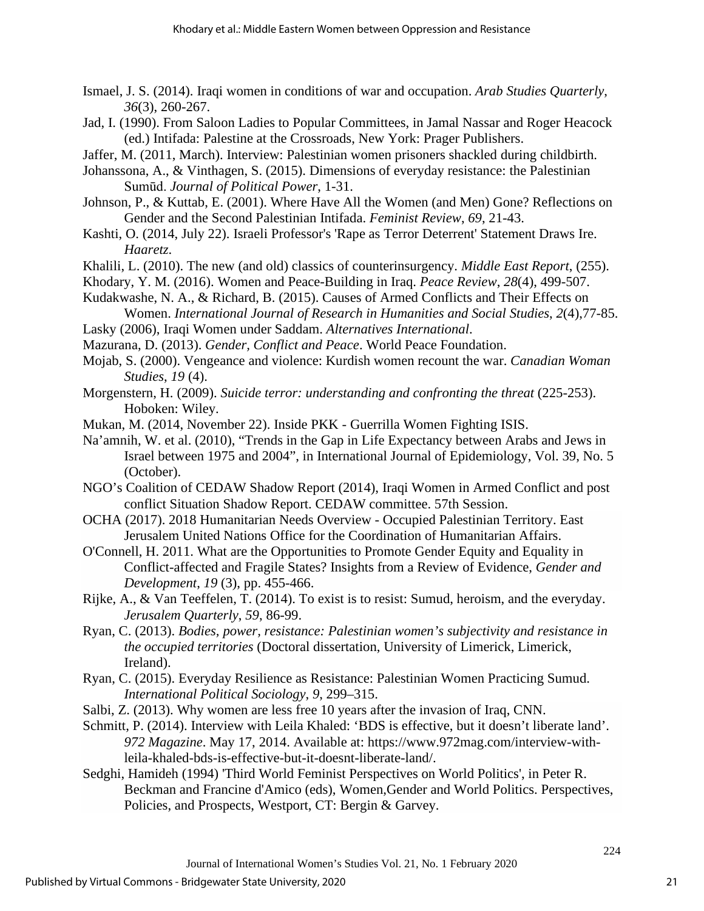- Ismael, J. S. (2014). Iraqi women in conditions of war and occupation. *Arab Studies Quarterly*, *36*(3), 260-267.
- Jad, I. (1990). From Saloon Ladies to Popular Committees, in Jamal Nassar and Roger Heacock (ed.) Intifada: Palestine at the Crossroads, New York: Prager Publishers.
- Jaffer, M. (2011, March). Interview: Palestinian women prisoners shackled during childbirth.
- Johanssona, A., & Vinthagen, S. (2015). Dimensions of everyday resistance: the Palestinian Sumūd. *Journal of Political Power*, 1-31.
- Johnson, P., & Kuttab, E. (2001). Where Have All the Women (and Men) Gone? Reflections on Gender and the Second Palestinian Intifada. *Feminist Review*, *69*, 21-43.
- Kashti, O. (2014, July 22). Israeli Professor's 'Rape as Terror Deterrent' Statement Draws Ire. *Haaretz*.
- Khalili, L. (2010). The new (and old) classics of counterinsurgency. *Middle East Report*, (255).
- Khodary, Y. M. (2016). Women and Peace-Building in Iraq. *Peace Review*, *28*(4), 499-507.
- Kudakwashe, N. A., & Richard, B. (2015). Causes of Armed Conflicts and Their Effects on Women. *International Journal of Research in Humanities and Social Studies*, *2*(4),77-85.
- Lasky (2006), Iraqi Women under Saddam. *Alternatives International*.
- Mazurana, D. (2013). *Gender, Conflict and Peace*. World Peace Foundation.
- Mojab, S. (2000). Vengeance and violence: Kurdish women recount the war. *Canadian Woman Studies*, *19* (4).
- Morgenstern, H. (2009). *Suicide terror: understanding and confronting the threat* (225-253). Hoboken: Wiley.
- Mukan, M. (2014, November 22). Inside PKK Guerrilla Women Fighting ISIS.
- Na'amnih, W. et al. (2010), "Trends in the Gap in Life Expectancy between Arabs and Jews in Israel between 1975 and 2004", in International Journal of Epidemiology, Vol. 39, No. 5 (October).
- NGO's Coalition of CEDAW Shadow Report (2014), Iraqi Women in Armed Conflict and post conflict Situation Shadow Report. CEDAW committee. 57th Session.
- OCHA (2017). 2018 Humanitarian Needs Overview Occupied Palestinian Territory. East Jerusalem United Nations Office for the Coordination of Humanitarian Affairs.
- O'Connell, H. 2011. What are the Opportunities to Promote Gender Equity and Equality in Conflict-affected and Fragile States? Insights from a Review of Evidence, *Gender and Development*, *19* (3), pp. 455-466.
- Rijke, A., & Van Teeffelen, T. (2014). To exist is to resist: Sumud, heroism, and the everyday. *Jerusalem Quarterly*, *59*, 86-99.
- Ryan, C. (2013). *Bodies, power, resistance: Palestinian women's subjectivity and resistance in the occupied territories* (Doctoral dissertation, University of Limerick, Limerick, Ireland).
- Ryan, C. (2015). Everyday Resilience as Resistance: Palestinian Women Practicing Sumud. *International Political Sociology*, *9*, 299–315.
- Salbi, Z. (2013). Why women are less free 10 years after the invasion of Iraq, CNN.
- Schmitt, P. (2014). Interview with Leila Khaled: 'BDS is effective, but it doesn't liberate land'. *972 Magazine*. May 17, 2014. Available at: https://www.972mag.com/interview-withleila-khaled-bds-is-effective-but-it-doesnt-liberate-land/.
- Sedghi, Hamideh (1994) 'Third World Feminist Perspectives on World Politics', in Peter R. Beckman and Francine d'Amico (eds), Women,Gender and World Politics. Perspectives, Policies, and Prospects, Westport, CT: Bergin & Garvey.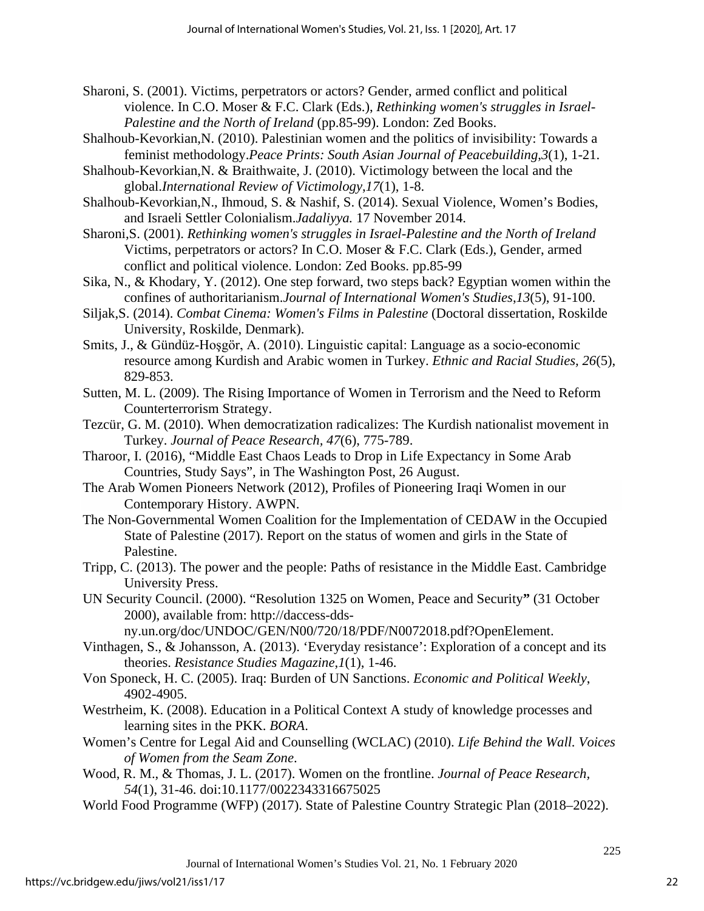- Sharoni, S. (2001). Victims, perpetrators or actors? Gender, armed conflict and political violence. In C.O. Moser & F.C. Clark (Eds.), *Rethinking women's struggles in Israel-Palestine and the North of Ireland* (pp.85-99). London: Zed Books.
- Shalhoub-Kevorkian,N. (2010). Palestinian women and the politics of invisibility: Towards a feminist methodology.*Peace Prints: South Asian Journal of Peacebuilding*,*3*(1), 1-21.
- Shalhoub-Kevorkian,N. & Braithwaite, J. (2010). Victimology between the local and the global.*International Review of Victimology*,*17*(1), 1-8.
- Shalhoub-Kevorkian,N., Ihmoud, S. & Nashif, S. (2014). Sexual Violence, Women's Bodies, and Israeli Settler Colonialism.*Jadaliyya.* 17 November 2014.
- Sharoni,S. (2001). *Rethinking women's struggles in Israel-Palestine and the North of Ireland* Victims, perpetrators or actors? In C.O. Moser & F.C. Clark (Eds.), Gender, armed conflict and political violence. London: Zed Books. pp.85-99
- Sika, N., & Khodary, Y. (2012). One step forward, two steps back? Egyptian women within the confines of authoritarianism.*Journal of International Women's Studies*,*13*(5), 91-100.
- Siljak,S. (2014). *Combat Cinema: Women's Films in Palestine* (Doctoral dissertation, Roskilde University, Roskilde, Denmark).
- Smits, J., & Gündüz-Hoşgör, A. (2010). Linguistic capital: Language as a socio-economic resource among Kurdish and Arabic women in Turkey. *Ethnic and Racial Studies, 26*(5), 829-853.
- Sutten, M. L. (2009). The Rising Importance of Women in Terrorism and the Need to Reform Counterterrorism Strategy.
- Tezcür, G. M. (2010). When democratization radicalizes: The Kurdish nationalist movement in Turkey. *Journal of Peace Research, 47*(6), 775-789.
- Tharoor, I. (2016), "Middle East Chaos Leads to Drop in Life Expectancy in Some Arab Countries, Study Says", in The Washington Post, 26 August.
- The Arab Women Pioneers Network (2012), Profiles of Pioneering Iraqi Women in our Contemporary History. AWPN.
- The Non-Governmental Women Coalition for the Implementation of CEDAW in the Occupied State of Palestine (2017). Report on the status of women and girls in the State of Palestine.
- Tripp, C. (2013). The power and the people: Paths of resistance in the Middle East. Cambridge University Press.
- UN Security Council. (2000). "Resolution 1325 on Women, Peace and Security**"** (31 October 2000), available from: http://daccess-dds-

ny.un.org/doc/UNDOC/GEN/N00/720/18/PDF/N0072018.pdf?OpenElement.

- Vinthagen, S., & Johansson, A. (2013). 'Everyday resistance': Exploration of a concept and its theories. *Resistance Studies Magazine*,*1*(1), 1-46.
- Von Sponeck, H. C. (2005). Iraq: Burden of UN Sanctions. *Economic and Political Weekly*, 4902-4905.
- Westrheim, K. (2008). Education in a Political Context A study of knowledge processes and learning sites in the PKK. *BORA*.
- Women's Centre for Legal Aid and Counselling (WCLAC) (2010). *Life Behind the Wall. Voices of Women from the Seam Zone*.
- Wood, R. M., & Thomas, J. L. (2017). Women on the frontline. *Journal of Peace Research, 54*(1), 31-46. doi:10.1177/0022343316675025
- World Food Programme (WFP) (2017). State of Palestine Country Strategic Plan (2018–2022).